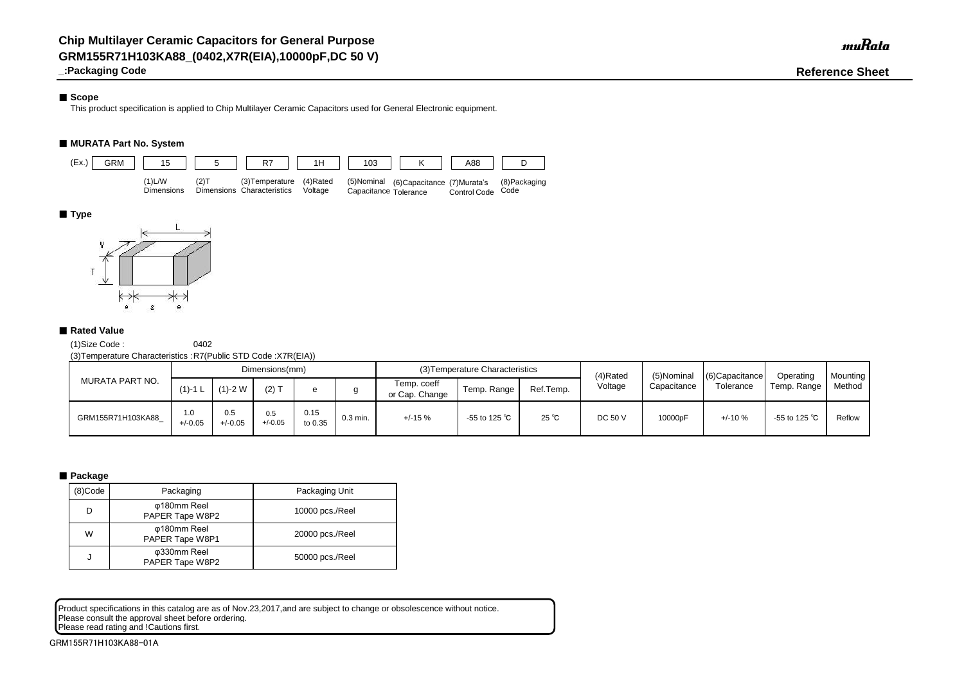## ■ Scope

**\_:Packaging Code Reference Sheet**

This product specification is applied to Chip Multilayer Ceramic Capacitors used for General Electronic equipment.

## ■ **MURATA Part No. System**

(1)Size Code : 0402

(3)Temperature Characteristics :R7(Public STD Code :X7R(EIA))

Product specifications in this catalog are as of Nov.23,2017,and are subject to change or obsolescence without notice. Please consult the approval sheet before ordering. Please read rating and !Cautions first.

| MURATA PART NO.   | Dimensions(mm)   |                  |                  |                 |            |                               | (3) Temperature Characteristics |                | (4)Rated | (5)Nominal  | $(6)$ Capacitance | <b>Operating</b> | <b>Mounting</b> |
|-------------------|------------------|------------------|------------------|-----------------|------------|-------------------------------|---------------------------------|----------------|----------|-------------|-------------------|------------------|-----------------|
|                   | $(1) - 1$ L      | $(1) - 2 W$      | $(2)$ T          |                 |            | Temp. coeff<br>or Cap. Change | Temp. Range                     | Ref.Temp.      | Voltage  | Capacitance | Tolerance         | Temp. Range      | Method          |
| GRM155R71H103KA88 | 1.0<br>$+/-0.05$ | 0.5<br>$+/-0.05$ | 0.5<br>$+/-0.05$ | 0.15<br>to 0.35 | $0.3$ min. | $+/-15%$                      | -55 to 125 $^{\circ}$ C         | $25^{\circ}$ C | DC 50 V  | 10000pF     | $+/-10%$          | -55 to 125 °C    | Reflow          |

### ■ Package

| (8)Code | Packaging                      | Packaging Unit  |
|---------|--------------------------------|-----------------|
| D       | φ180mm Reel<br>PAPER Tape W8P2 | 10000 pcs./Reel |
| W       | φ180mm Reel<br>PAPER Tape W8P1 | 20000 pcs./Reel |
| J       | φ330mm Reel<br>PAPER Tape W8P2 | 50000 pcs./Reel |



### ■ **Type**



### ■ Rated Value

GRM155R71H103KA88-01A

muRata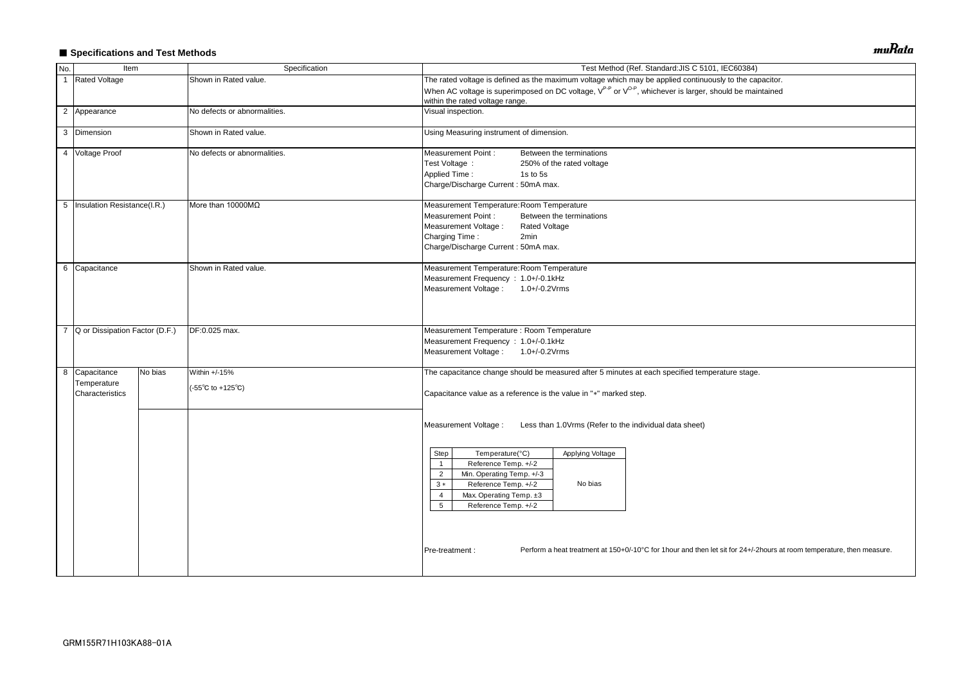## ■ Specifications and Test Methods

| No.            | Item                                            |         | Specification                                               | Test Method (Ref. Standard: JIS C 5101, IEC60384)                                                                                                                                                                                                                                                                                                                                                                                                                            |  |  |  |  |  |  |
|----------------|-------------------------------------------------|---------|-------------------------------------------------------------|------------------------------------------------------------------------------------------------------------------------------------------------------------------------------------------------------------------------------------------------------------------------------------------------------------------------------------------------------------------------------------------------------------------------------------------------------------------------------|--|--|--|--|--|--|
| $\overline{1}$ | <b>Rated Voltage</b>                            |         | Shown in Rated value.                                       | The rated voltage is defined as the maximum voltage which may be applied continuously to the capacitor.                                                                                                                                                                                                                                                                                                                                                                      |  |  |  |  |  |  |
|                |                                                 |         |                                                             | When AC voltage is superimposed on DC voltage, V <sup>P-P</sup> or V <sup>O-P</sup> , whichever is larger, should be maintained<br>within the rated voltage range.                                                                                                                                                                                                                                                                                                           |  |  |  |  |  |  |
|                | 2 Appearance                                    |         | No defects or abnormalities.                                | Visual inspection.                                                                                                                                                                                                                                                                                                                                                                                                                                                           |  |  |  |  |  |  |
|                | 3 Dimension                                     |         | Shown in Rated value.                                       | Using Measuring instrument of dimension.                                                                                                                                                                                                                                                                                                                                                                                                                                     |  |  |  |  |  |  |
|                | 4 Voltage Proof                                 |         | No defects or abnormalities.                                | <b>Measurement Point:</b><br>Between the terminations<br>Test Voltage :<br>250% of the rated voltage<br><b>Applied Time:</b><br>1s to 5s<br>Charge/Discharge Current: 50mA max.                                                                                                                                                                                                                                                                                              |  |  |  |  |  |  |
|                | 5   Insulation Resistance(I.R.)                 |         | More than 10000MΩ                                           | Measurement Temperature: Room Temperature<br><b>Measurement Point:</b><br>Between the terminations<br>Measurement Voltage :<br><b>Rated Voltage</b><br>Charging Time:<br>2min<br>Charge/Discharge Current: 50mA max.                                                                                                                                                                                                                                                         |  |  |  |  |  |  |
|                | 6 Capacitance                                   |         | Shown in Rated value.                                       | Measurement Temperature: Room Temperature<br>Measurement Frequency : 1.0+/-0.1kHz<br>Measurement Voltage: 1.0+/-0.2Vrms                                                                                                                                                                                                                                                                                                                                                      |  |  |  |  |  |  |
| $\overline{7}$ | Q or Dissipation Factor (D.F.)<br>DF:0.025 max. |         |                                                             | Measurement Temperature : Room Temperature<br>Measurement Frequency : 1.0+/-0.1kHz<br>Measurement Voltage: 1.0+/-0.2Vrms                                                                                                                                                                                                                                                                                                                                                     |  |  |  |  |  |  |
|                | 8 Capacitance<br>Temperature<br>Characteristics | No bias | Within +/-15%<br>$(-55^{\circ}C \text{ to } +125^{\circ}C)$ | The capacitance change should be measured after 5 minutes at each specified temperature stage.<br>Capacitance value as a reference is the value in "*" marked step.                                                                                                                                                                                                                                                                                                          |  |  |  |  |  |  |
|                |                                                 |         |                                                             | Measurement Voltage :<br>Less than 1.0Vrms (Refer to the individual data sheet)<br>Temperature(°C)<br>Applying Voltage<br>Step<br>Reference Temp. +/-2<br>$\overline{1}$<br>Min. Operating Temp. +/-3<br>$\overline{2}$<br>Reference Temp. +/-2<br>No bias<br>$3 *$<br>Max. Operating Temp. ±3<br>4<br>5<br>Reference Temp. +/-2<br>Perform a heat treatment at 150+0/-10°C for 1hour and then let sit for 24+/-2hours at room temperature, then measure.<br>Pre-treatment : |  |  |  |  |  |  |
|                |                                                 |         |                                                             |                                                                                                                                                                                                                                                                                                                                                                                                                                                                              |  |  |  |  |  |  |

muRata

| pacitor.                                  |
|-------------------------------------------|
| intained                                  |
|                                           |
|                                           |
|                                           |
|                                           |
|                                           |
|                                           |
|                                           |
|                                           |
|                                           |
|                                           |
|                                           |
|                                           |
|                                           |
|                                           |
|                                           |
|                                           |
|                                           |
|                                           |
|                                           |
|                                           |
|                                           |
|                                           |
| ).                                        |
|                                           |
|                                           |
|                                           |
|                                           |
|                                           |
|                                           |
|                                           |
|                                           |
|                                           |
|                                           |
|                                           |
|                                           |
|                                           |
|                                           |
| 2hours at room temperature, then measure. |
|                                           |
|                                           |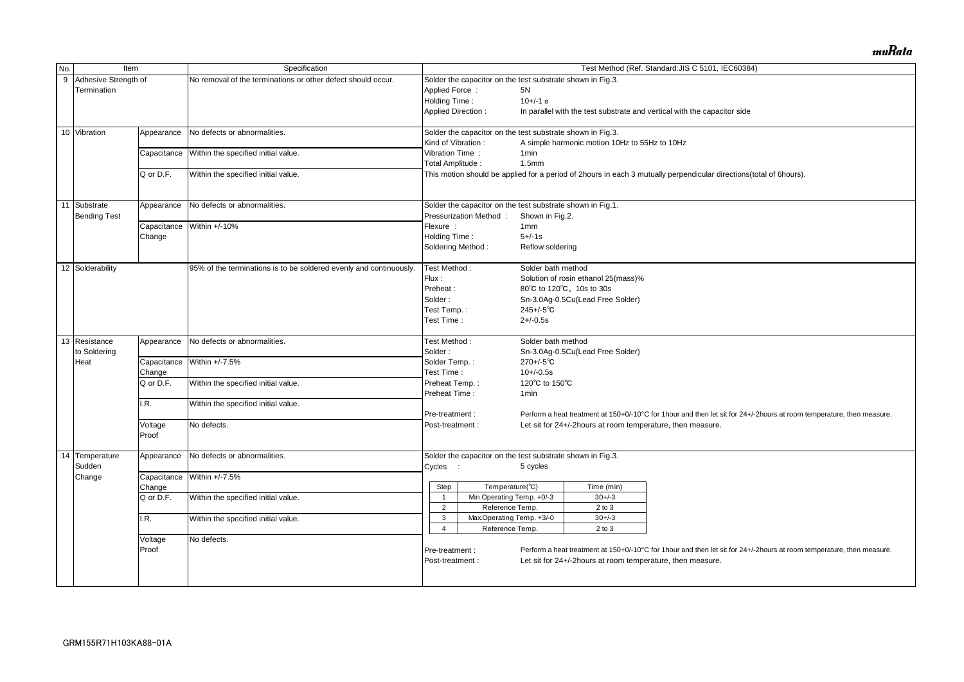| No.              | Item                       |                                                  | Specification                                                      |                                     |                                                            |                    |                                                            | Test Method (Ref. Standard: JIS C 5101, IEC60384)                                                                     |  |  |  |
|------------------|----------------------------|--------------------------------------------------|--------------------------------------------------------------------|-------------------------------------|------------------------------------------------------------|--------------------|------------------------------------------------------------|-----------------------------------------------------------------------------------------------------------------------|--|--|--|
| $\boldsymbol{9}$ | Adhesive Strength of       |                                                  | No removal of the terminations or other defect should occur.       |                                     | Solder the capacitor on the test substrate shown in Fig.3. |                    |                                                            |                                                                                                                       |  |  |  |
|                  | Termination                |                                                  |                                                                    | Applied Force:                      |                                                            | 5N                 |                                                            |                                                                                                                       |  |  |  |
|                  |                            |                                                  |                                                                    |                                     | Holding Time:<br>$10+/-1$ s                                |                    |                                                            |                                                                                                                       |  |  |  |
|                  |                            |                                                  |                                                                    | <b>Applied Direction:</b>           |                                                            |                    |                                                            | In parallel with the test substrate and vertical with the capacitor side                                              |  |  |  |
|                  | 10 Vibration               | Appearance                                       | No defects or abnormalities.                                       |                                     | Solder the capacitor on the test substrate shown in Fig.3. |                    |                                                            |                                                                                                                       |  |  |  |
|                  |                            |                                                  |                                                                    | Kind of Vibration:                  |                                                            |                    | A simple harmonic motion 10Hz to 55Hz to 10Hz              |                                                                                                                       |  |  |  |
|                  |                            | Capacitance                                      | Within the specified initial value.                                | Vibration Time:                     |                                                            | 1 <sub>min</sub>   |                                                            |                                                                                                                       |  |  |  |
|                  |                            |                                                  |                                                                    | Total Amplitude:                    |                                                            | 1.5 <sub>mm</sub>  |                                                            |                                                                                                                       |  |  |  |
|                  |                            | Q or D.F.                                        | Within the specified initial value.                                |                                     |                                                            |                    |                                                            | This motion should be applied for a period of 2hours in each 3 mutually perpendicular directions(total of 6hours).    |  |  |  |
| 11               | Substrate                  | Appearance                                       | No defects or abnormalities.                                       |                                     | Solder the capacitor on the test substrate shown in Fig.1. |                    |                                                            |                                                                                                                       |  |  |  |
|                  | <b>Bending Test</b>        |                                                  |                                                                    | Flexure :                           | Pressurization Method:                                     | Shown in Fig.2.    |                                                            |                                                                                                                       |  |  |  |
|                  |                            | Capacitance                                      | Within +/-10%                                                      |                                     |                                                            | 1 <sub>mm</sub>    |                                                            |                                                                                                                       |  |  |  |
|                  |                            | Change                                           |                                                                    | Holding Time:                       |                                                            | $5 + (-1s)$        |                                                            |                                                                                                                       |  |  |  |
|                  |                            |                                                  |                                                                    |                                     | Soldering Method:<br>Reflow soldering                      |                    |                                                            |                                                                                                                       |  |  |  |
|                  | 12 Solderability           |                                                  | 95% of the terminations is to be soldered evenly and continuously. |                                     | Test Method:                                               | Solder bath method |                                                            |                                                                                                                       |  |  |  |
|                  |                            |                                                  |                                                                    | Flux:                               |                                                            |                    | Solution of rosin ethanol 25(mass)%                        |                                                                                                                       |  |  |  |
|                  |                            |                                                  |                                                                    | Preheat:                            |                                                            |                    | 80°C to 120°C, 10s to 30s                                  |                                                                                                                       |  |  |  |
|                  |                            |                                                  |                                                                    | Solder:                             |                                                            |                    | Sn-3.0Ag-0.5Cu(Lead Free Solder)                           |                                                                                                                       |  |  |  |
|                  |                            |                                                  |                                                                    | Test Temp.:                         |                                                            | $245 + (-5)$ °C    |                                                            |                                                                                                                       |  |  |  |
|                  |                            |                                                  |                                                                    | Test Time:                          |                                                            | $2 + (-0.5s)$      |                                                            |                                                                                                                       |  |  |  |
|                  | $\overline{13}$ Resistance | Appearance                                       | No defects or abnormalities.                                       |                                     | Test Method:                                               | Solder bath method |                                                            |                                                                                                                       |  |  |  |
|                  | to Soldering               |                                                  |                                                                    | Solder:                             |                                                            |                    | Sn-3.0Ag-0.5Cu(Lead Free Solder)                           |                                                                                                                       |  |  |  |
|                  | Heat                       | Capacitance                                      | Within +/-7.5%                                                     |                                     | Solder Temp.:<br>Test Time:                                |                    |                                                            |                                                                                                                       |  |  |  |
|                  |                            | Change                                           |                                                                    |                                     |                                                            |                    |                                                            |                                                                                                                       |  |  |  |
|                  |                            | Q or D.F.<br>Within the specified initial value. |                                                                    | Preheat Temp.:                      |                                                            | 120°C to 150°C     |                                                            |                                                                                                                       |  |  |  |
|                  |                            |                                                  |                                                                    | Preheat Time:                       |                                                            | 1 <sub>min</sub>   |                                                            |                                                                                                                       |  |  |  |
|                  |                            | I.R.                                             | Within the specified initial value.                                | Pre-treatment:                      |                                                            |                    |                                                            | Perform a heat treatment at 150+0/-10°C for 1hour and then let sit for 24+/-2hours at room temperature, then measure. |  |  |  |
|                  |                            |                                                  |                                                                    | Post-treatment :                    |                                                            |                    |                                                            |                                                                                                                       |  |  |  |
|                  |                            | Voltage<br>Proof                                 | No defects.                                                        |                                     |                                                            |                    | Let sit for 24+/-2hours at room temperature, then measure. |                                                                                                                       |  |  |  |
|                  | 14 Temperature             | Appearance                                       | No defects or abnormalities.                                       |                                     | Solder the capacitor on the test substrate shown in Fig.3. |                    |                                                            |                                                                                                                       |  |  |  |
|                  | Sudden                     |                                                  |                                                                    | Cycles :                            |                                                            | 5 cycles           |                                                            |                                                                                                                       |  |  |  |
|                  | Change                     |                                                  | Capacitance Within +/-7.5%                                         |                                     |                                                            |                    |                                                            |                                                                                                                       |  |  |  |
|                  |                            | Change                                           |                                                                    | Step                                | Temperature(°C)                                            |                    | Time (min)                                                 |                                                                                                                       |  |  |  |
|                  |                            | Q or D.F.                                        | Within the specified initial value.                                |                                     | Min.Operating Temp. +0/-3                                  |                    | $30 + / -3$                                                |                                                                                                                       |  |  |  |
|                  |                            |                                                  |                                                                    | $\overline{2}$                      | Reference Temp.                                            |                    | $2$ to $3$                                                 |                                                                                                                       |  |  |  |
|                  |                            | I.R.                                             | Within the specified initial value.                                | 3                                   | Max.Operating Temp. +3/-0                                  |                    | $30 + / -3$                                                |                                                                                                                       |  |  |  |
|                  |                            |                                                  |                                                                    | 4                                   | Reference Temp.                                            |                    | $2$ to $3$                                                 |                                                                                                                       |  |  |  |
|                  |                            |                                                  |                                                                    |                                     |                                                            |                    |                                                            |                                                                                                                       |  |  |  |
|                  |                            | No defects.<br>Voltage<br>Proof                  |                                                                    | Pre-treatment :<br>Post-treatment : |                                                            |                    | Let sit for 24+/-2hours at room temperature, then measure. | Perform a heat treatment at 150+0/-10°C for 1hour and then let sit for 24+/-2hours at room temperature, then measure. |  |  |  |
|                  |                            |                                                  |                                                                    |                                     |                                                            |                    |                                                            |                                                                                                                       |  |  |  |

muRata

| al of 6hours).                          |
|-----------------------------------------|
|                                         |
|                                         |
|                                         |
|                                         |
|                                         |
|                                         |
|                                         |
|                                         |
|                                         |
|                                         |
|                                         |
|                                         |
|                                         |
|                                         |
|                                         |
|                                         |
|                                         |
|                                         |
|                                         |
|                                         |
|                                         |
|                                         |
| ours at room temperature, then measure. |
|                                         |
|                                         |
|                                         |
|                                         |
|                                         |
|                                         |
|                                         |
|                                         |
|                                         |
|                                         |
|                                         |
|                                         |
| ours at room temperature, then measure. |
|                                         |
|                                         |
|                                         |
|                                         |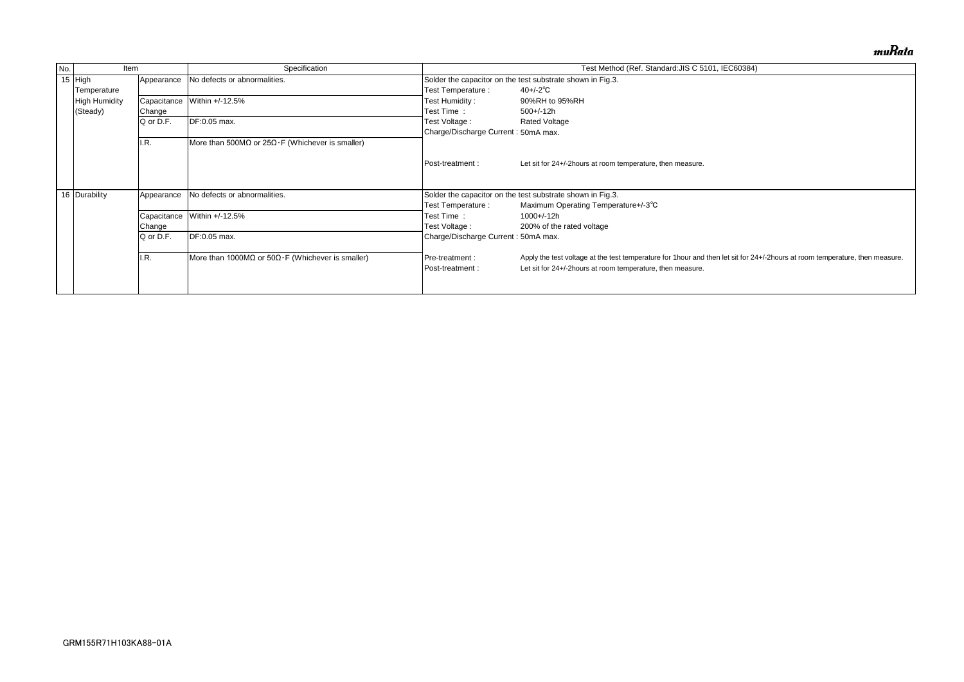| No. | Item          |             | Specification                                                      |                                                            | Test Method (Ref. Standard: JIS C 5101, IEC60384)                                  |  |  |  |  |
|-----|---------------|-------------|--------------------------------------------------------------------|------------------------------------------------------------|------------------------------------------------------------------------------------|--|--|--|--|
|     | 15 $High$     | Appearance  | No defects or abnormalities.                                       |                                                            | Solder the capacitor on the test substrate shown in Fig.3.                         |  |  |  |  |
|     | Temperature   |             |                                                                    | Test Temperature :                                         | $40 + (-2)^\circ \text{C}$                                                         |  |  |  |  |
|     | High Humidity | Capacitance | Within +/-12.5%                                                    | Test Humidity :                                            | 90%RH to 95%RH                                                                     |  |  |  |  |
|     | (Steady)      | Change      |                                                                    | Test Time:                                                 | 500+/-12h                                                                          |  |  |  |  |
|     |               | Q or D.F.   | DF:0.05 max.                                                       | Test Voltage :                                             | <b>Rated Voltage</b>                                                               |  |  |  |  |
|     |               |             |                                                                    | Charge/Discharge Current: 50mA max.                        |                                                                                    |  |  |  |  |
|     | I.R.          |             | More than 500M $\Omega$ or 25 $\Omega$ · F (Whichever is smaller)  |                                                            |                                                                                    |  |  |  |  |
|     |               |             |                                                                    |                                                            |                                                                                    |  |  |  |  |
|     |               |             |                                                                    | Post-treatment:                                            | Let sit for 24+/-2 hours at room temperature, then measure.                        |  |  |  |  |
|     |               |             |                                                                    |                                                            |                                                                                    |  |  |  |  |
|     | 16 Durability | Appearance  | No defects or abnormalities.                                       | Solder the capacitor on the test substrate shown in Fig.3. |                                                                                    |  |  |  |  |
|     |               |             |                                                                    | Test Temperature :                                         | Maximum Operating Temperature+/-3°C                                                |  |  |  |  |
|     |               | Capacitance | Within +/-12.5%                                                    | Test Time:                                                 | 1000+/-12h                                                                         |  |  |  |  |
|     |               | Change      |                                                                    | Test Voltage :                                             | 200% of the rated voltage                                                          |  |  |  |  |
|     |               | Q or D.F.   | DF:0.05 max.                                                       | Charge/Discharge Current: 50mA max.                        |                                                                                    |  |  |  |  |
|     |               |             |                                                                    |                                                            |                                                                                    |  |  |  |  |
|     |               | I.R.        | More than 1000M $\Omega$ or 50 $\Omega$ · F (Whichever is smaller) | Pre-treatment :                                            | Apply the test voltage at the test temperature for 1 hour and then let sit for 24- |  |  |  |  |
|     |               |             |                                                                    | Post-treatment:                                            | Let sit for 24+/-2hours at room temperature, then measure.                         |  |  |  |  |
|     |               |             |                                                                    |                                                            |                                                                                    |  |  |  |  |
|     |               |             |                                                                    |                                                            |                                                                                    |  |  |  |  |

muRata

1+/-2hours at room temperature, then measure.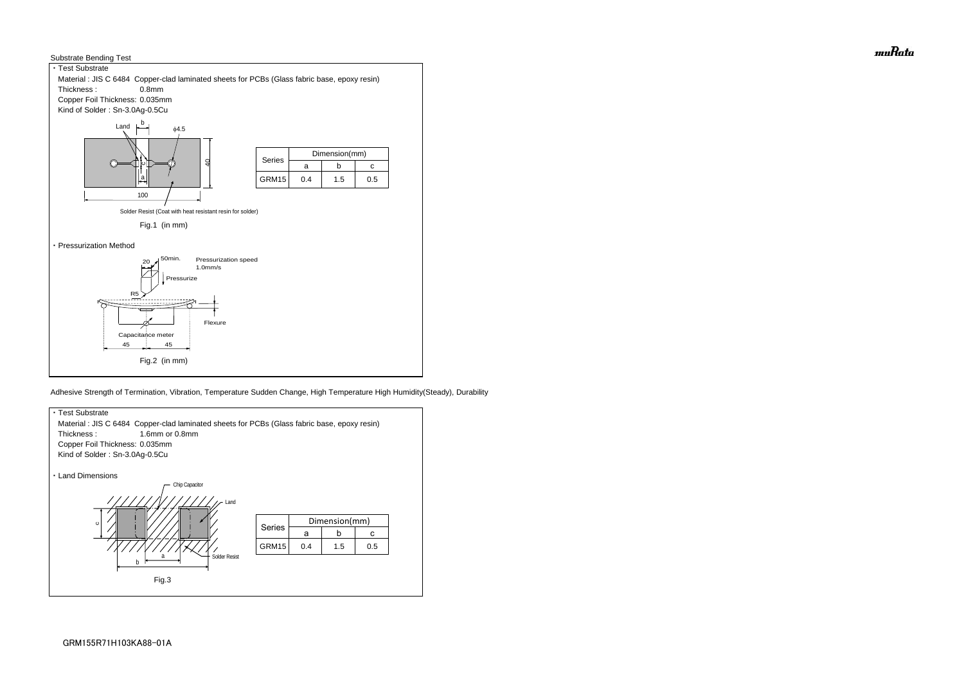



Adhesive Strength of Termination, Vibration, Temperature Sudden Change, High Temperature High Humidity(Steady), Durability



muRata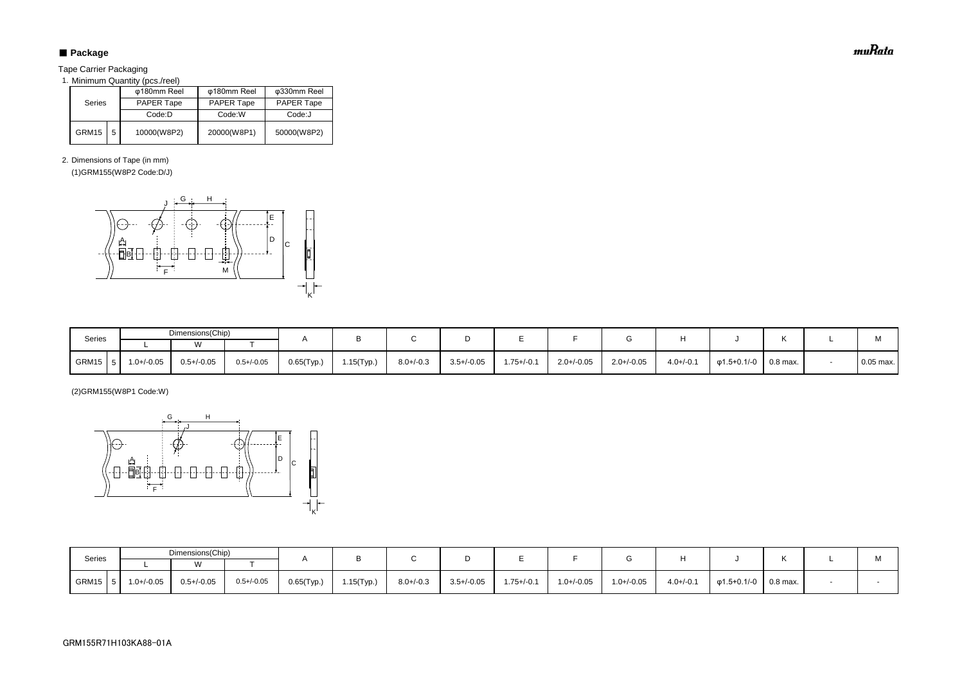## ■ Package

Tape Carrier Packaging

1. Minimum Quantity (pcs./reel)

2. Dimensions of Tape (in mm)

(1)GRM155(W8P2 Code:D/J)

(2)GRM155(W8P1 Code:W)

| <b>Series</b> |   | φ180mm Reel       | φ180mm Reel       | φ330mm Reel       |  |  |
|---------------|---|-------------------|-------------------|-------------------|--|--|
|               |   | <b>PAPER Tape</b> | <b>PAPER Tape</b> | <b>PAPER Tape</b> |  |  |
|               |   | Code:D            | Code:W            | Code:J            |  |  |
| GRM15         | 5 | 10000(W8P2)       | 20000(W8P1)       | 50000(W8P2)       |  |  |

| Series       | Dimensions(Chip) |                 |                 |               |            |                |                 |                 |                 |                 |                |                   |            | $\mathbf{A}$ |
|--------------|------------------|-----------------|-----------------|---------------|------------|----------------|-----------------|-----------------|-----------------|-----------------|----------------|-------------------|------------|--------------|
|              |                  |                 |                 |               |            |                |                 |                 |                 |                 |                |                   |            | IVI.         |
| GRM15<br>1.5 | $1.0 + / -0.05$  | $0.5 + (-0.05)$ | $0.5 + (-0.05)$ | $0.65$ (Typ.) | 1.15(Typ.) | $8.0 + (-0.3)$ | $3.5 + / -0.05$ | $1.75 + (-0.1)$ | $1.0 + (-0.05)$ | $1.0 + (-0.05)$ | $4.0 + (-0.1)$ | $\phi$ 1.5+0.1/-0 | $0.8$ max. |              |

| Series | Dimensions(Chip) |                 |                 |            |            |                |                 |                 |                 |                 |                |             |            | M           |
|--------|------------------|-----------------|-----------------|------------|------------|----------------|-----------------|-----------------|-----------------|-----------------|----------------|-------------|------------|-------------|
|        |                  |                 |                 |            |            |                |                 |                 |                 |                 |                |             |            |             |
| GRM15  | $1.0 + / -0.05$  | $0.5 + (-0.05)$ | $0.5 + / -0.05$ | 0.65(Typ.) | 1.15(Typ.) | $8.0 + / -0.3$ | $3.5 + (-0.05)$ | $1.75 + (-0.1)$ | $2.0 + / -0.05$ | $2.0 + / -0.05$ | $4.0 + (-0.1)$ | φ1.5+0.1/-0 | $0.8$ max. | $0.05$ max. |



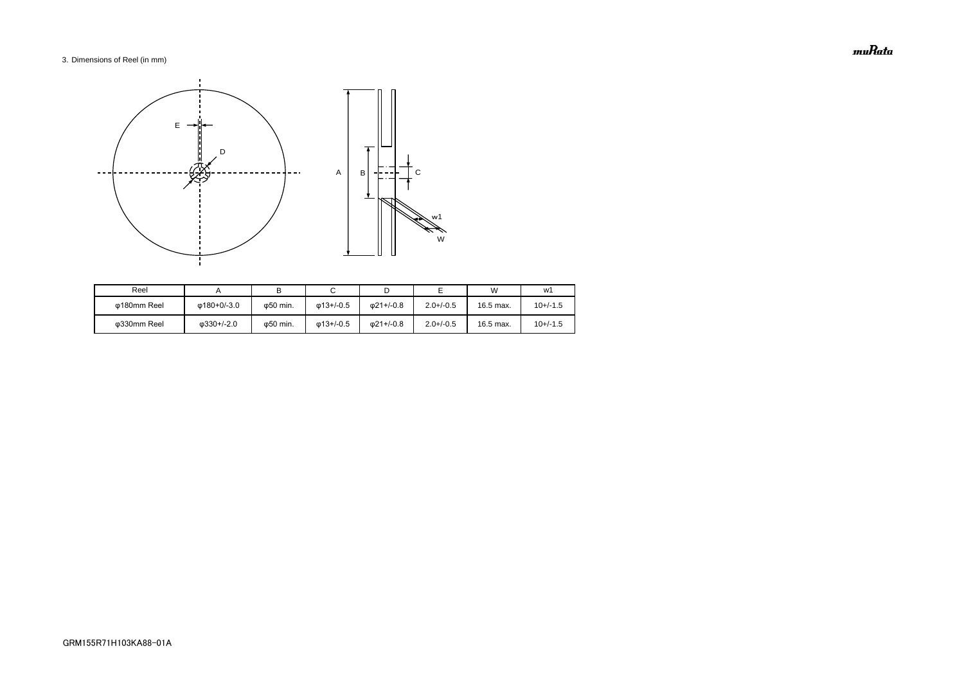### 3. Dimensions of Reel (in mm)

| Reel        |                    |          |                   |                   |                | W         | w1         |
|-------------|--------------------|----------|-------------------|-------------------|----------------|-----------|------------|
| ω180mm Reel | ω180+0/-3.0        | ω50 min. | $\omega$ 13+/-0.5 | $\omega$ 21+/-0.8 | $2.0 + (-0.5)$ | 16.5 max. | $10+/-1.5$ |
| ω330mm Reel | $\omega$ 330+/-2.0 | φ50 min. | $\omega$ 13+/-0.5 | $\omega$ 21+/-0.8 | $2.0 + (-0.5)$ | 16.5 max. | $10+/-1.5$ |



muRata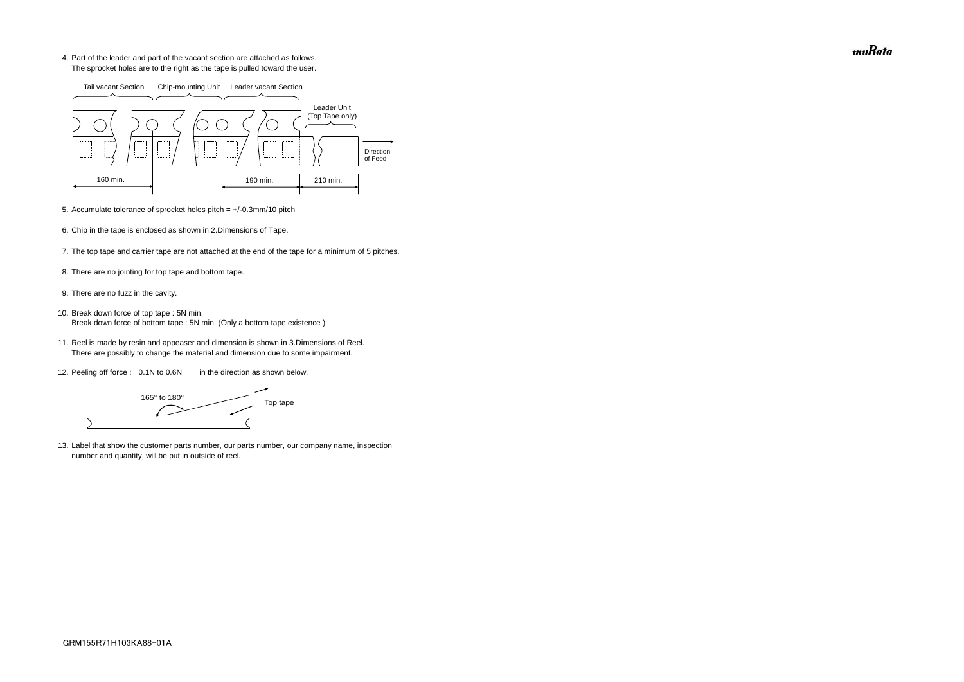4. Part of the leader and part of the vacant section are attached as follows. The sprocket holes are to the right as the tape is pulled toward the user.

- 5. Accumulate tolerance of sprocket holes pitch = +/-0.3mm/10 pitch
- 6. Chip in the tape is enclosed as shown in 2.Dimensions of Tape.
- 7. The top tape and carrier tape are not attached at the end of the tape for a minimum of 5 pitches.
- 8. There are no jointing for top tape and bottom tape.
- 9. There are no fuzz in the cavity.
- 10. Break down force of top tape : 5N min. Break down force of bottom tape : 5N min. (Only a bottom tape existence)
	- 11. Reel is made by resin and appeaser and dimension is shown in 3.Dimensions of Reel. There are possibly to change the material and dimension due to some impairment.
	- 12. Peeling off force : 0.1N to 0.6N in the direction as shown below.

165° to 180° Top tape  $\overline{\phantom{0}}$ 

13. Label that show the customer parts number, our parts number, our company name, inspection number and quantity, will be put in outside of reel.



muRata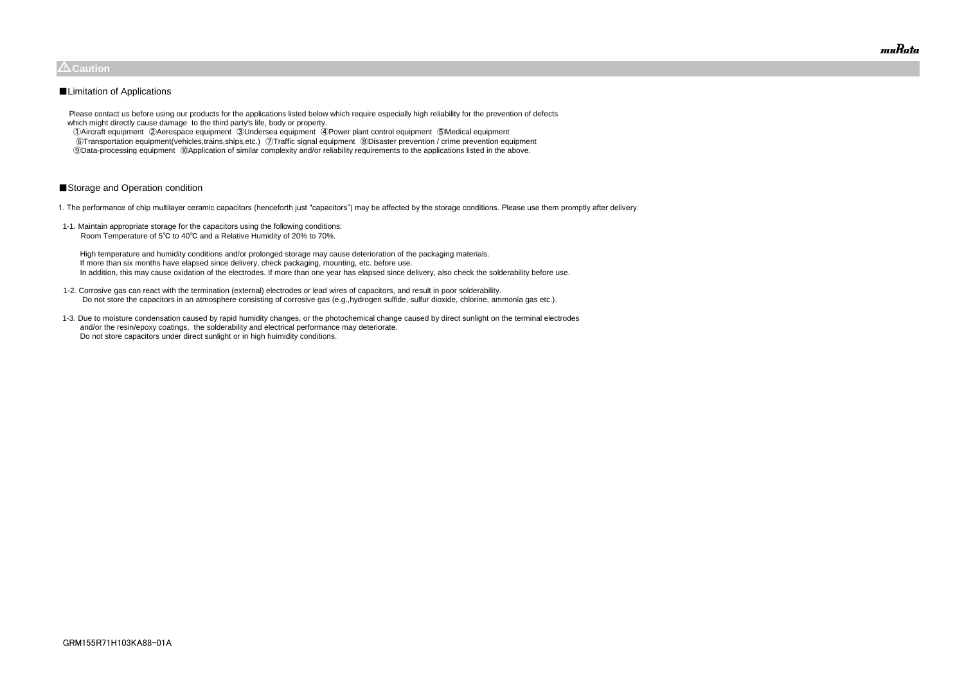Please contact us before using our products for the applications listed below which require especially high reliability for the prevention of defects which might directly cause damage to the third party's life, body or property.

 ①Aircraft equipment ②Aerospace equipment ③Undersea equipment ④Power plant control equipment ⑤Medical equipment ⑥Transportation equipment(vehicles,trains,ships,etc.) ⑦Traffic signal equipment ⑧Disaster prevention / crime prevention equipment ⑨Data-processing equipment ⑩Application of similar complexity and/or reliability requirements to the applications listed in the above.

### ■Storage and Operation condition

1. The performance of chip multilayer ceramic capacitors (henceforth just "capacitors") may be affected by the storage conditions. Please use them promptly after delivery.

1-1. Maintain appropriate storage for the capacitors using the following conditions: Room Temperature of 5℃ to 40℃ and a Relative Humidity of 20% to 70%.

 High temperature and humidity conditions and/or prolonged storage may cause deterioration of the packaging materials. If more than six months have elapsed since delivery, check packaging, mounting, etc. before use. In addition, this may cause oxidation of the electrodes. If more than one year has elapsed since delivery, also check the solderability before use.

- 1-2. Corrosive gas can react with the termination (external) electrodes or lead wires of capacitors, and result in poor solderability. Do not store the capacitors in an atmosphere consisting of corrosive gas (e.g.,hydrogen sulfide, sulfur dioxide, chlorine, ammonia gas etc.).
- 1-3. Due to moisture condensation caused by rapid humidity changes, or the photochemical change caused by direct sunlight on the terminal electrodes and/or the resin/epoxy coatings, the solderability and electrical performance may deteriorate. Do not store capacitors under direct sunlight or in high huimidity conditions.



### $\triangle$ Caution

### ■Limitation of Applications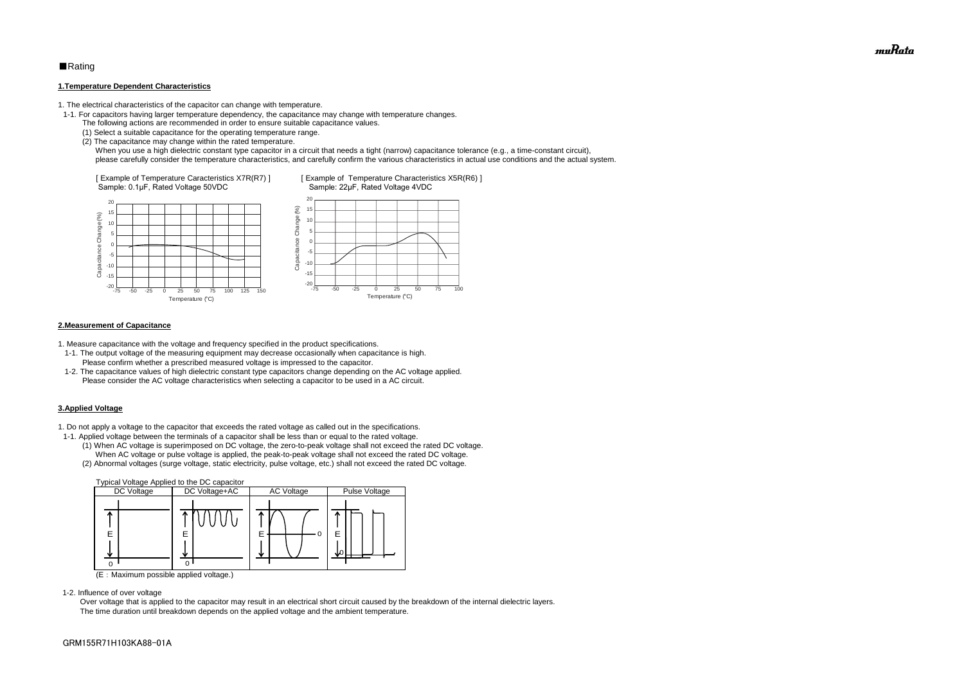### ■Rating

#### **1.Temperature Dependent Characteristics**

1. The electrical characteristics of the capacitor can change with temperature.

- 1-1. For capacitors having larger temperature dependency, the capacitance may change with temperature changes.
	- The following actions are recommended in order to ensure suitable capacitance values.
	- (1) Select a suitable capacitance for the operating temperature range.
	- (2) The capacitance may change within the rated temperature.

When you use a high dielectric constant type capacitor in a circuit that needs a tight (narrow) capacitance tolerance (e.g., a time-constant circuit), please carefully consider the temperature characteristics, and carefully confirm the various characteristics in actual use conditions and the actual system.

#### **2.Measurement of Capacitance**

1. Measure capacitance with the voltage and frequency specified in the product specifications.

- 1-1. The output voltage of the measuring equipment may decrease occasionally when capacitance is high. Please confirm whether a prescribed measured voltage is impressed to the capacitor.
- 1-2. The capacitance values of high dielectric constant type capacitors change depending on the AC voltage applied. Please consider the AC voltage characteristics when selecting a capacitor to be used in a AC circuit.

### **3.Applied Voltage**

1. Do not apply a voltage to the capacitor that exceeds the rated voltage as called out in the specifications.



- 1-1. Applied voltage between the terminals of a capacitor shall be less than or equal to the rated voltage.
	- (1) When AC voltage is superimposed on DC voltage, the zero-to-peak voltage shall not exceed the rated DC voltage. When AC voltage or pulse voltage is applied, the peak-to-peak voltage shall not exceed the rated DC voltage.
	- (2) Abnormal voltages (surge voltage, static electricity, pulse voltage, etc.) shall not exceed the rated DC voltage.



(E:Maximum possible applied voltage.)

1-2. Influence of over voltage

 Over voltage that is applied to the capacitor may result in an electrical short circuit caused by the breakdown of the internal dielectric layers. The time duration until breakdown depends on the applied voltage and the ambient temperature.

muRata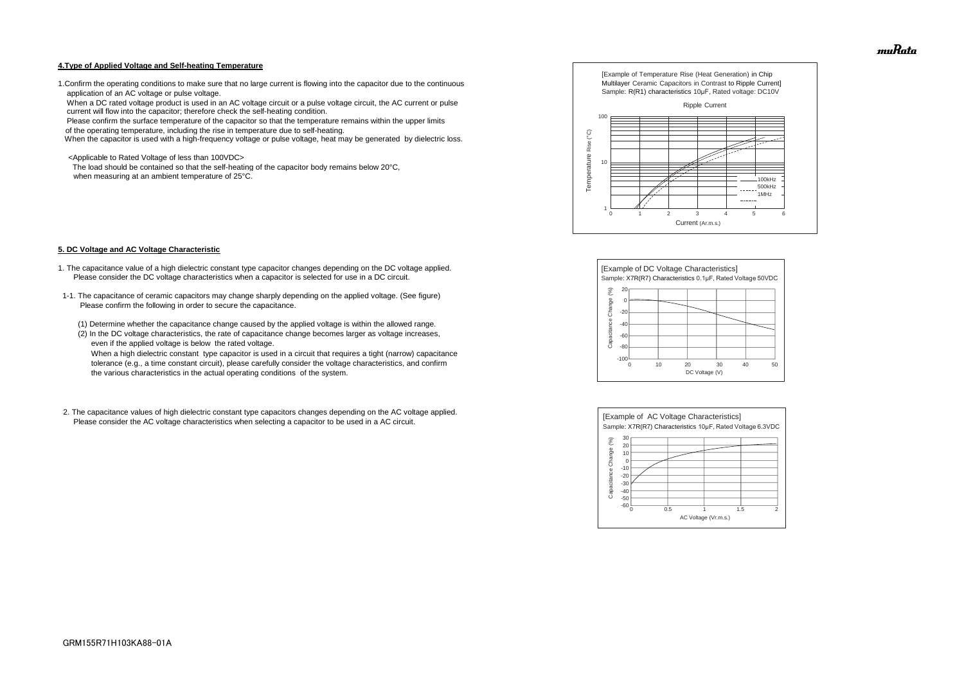#### **4.Type of Applied Voltage and Self-heating Temperature**

1.Confirm the operating conditions to make sure that no large current is flowing into the capacitor due to the continuous application of an AC voltage or pulse voltage.

 When a DC rated voltage product is used in an AC voltage circuit or a pulse voltage circuit, the AC current or pulse current will flow into the capacitor; therefore check the self-heating condition.

The load should be contained so that the self-heating of the capacitor body remains below 20°C, when measuring at an ambient temperature of 25°C.

Please confirm the surface temperature of the capacitor so that the temperature remains within the upper limits

of the operating temperature, including the rise in temperature due to self-heating.

When the capacitor is used with a high-frequency voltage or pulse voltage, heat may be generated by dielectric loss.

<Applicable to Rated Voltage of less than 100VDC>

#### **5. DC Voltage and AC Voltage Characteristic**

- 1. The capacitance value of a high dielectric constant type capacitor changes depending on the DC voltage applied. Please consider the DC voltage characteristics when a capacitor is selected for use in a DC circuit.
- 1-1. The capacitance of ceramic capacitors may change sharply depending on the applied voltage. (See figure) Please confirm the following in order to secure the capacitance.
	- (1) Determine whether the capacitance change caused by the applied voltage is within the allowed range.
	- (2) In the DC voltage characteristics, the rate of capacitance change becomes larger as voltage increases, even if the applied voltage is below the rated voltage.

 When a high dielectric constant type capacitor is used in a circuit that requires a tight (narrow) capacitance tolerance (e.g., a time constant circuit), please carefully consider the voltage characteristics, and confirm the various characteristics in the actual operating conditions of the system.

2. The capacitance values of high dielectric constant type capacitors changes depending on the AC voltage applied. Please consider the AC voltage characteristics when selecting a capacitor to be used in a AC circuit.









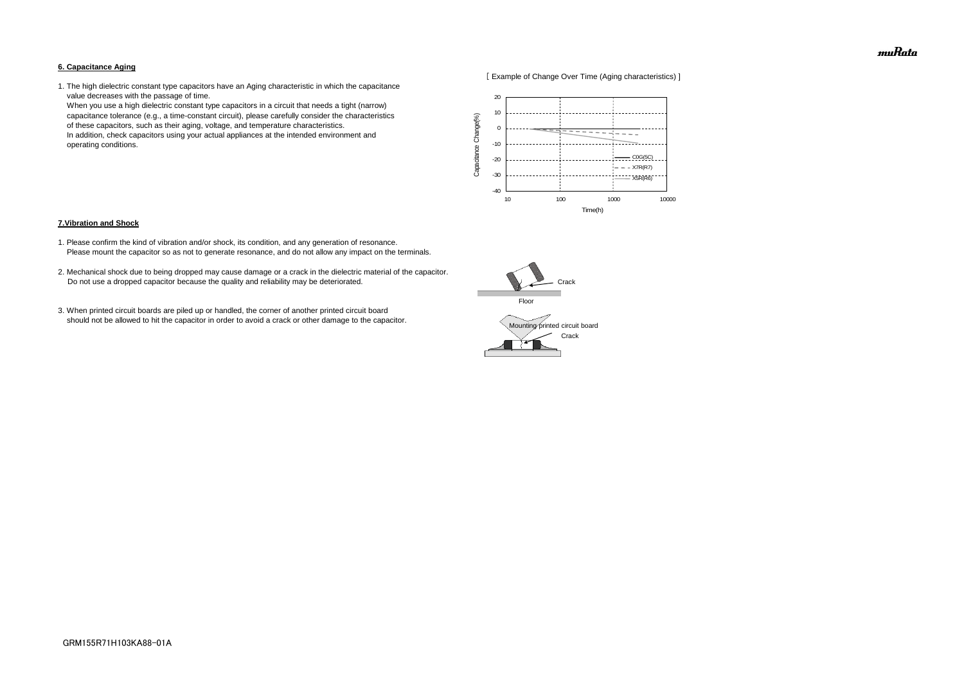#### **6. Capacitance Aging**



1. The high dielectric constant type capacitors have an Aging characteristic in which the capacitance value decreases with the passage of time.

 When you use a high dielectric constant type capacitors in a circuit that needs a tight (narrow) capacitance tolerance (e.g., a time-constant circuit), please carefully consider the characteristics of these capacitors, such as their aging, voltage, and temperature characteristics. In addition, check capacitors using your actual appliances at the intended environment and operating conditions.

#### **7.Vibration and Shock**

- 1. Please confirm the kind of vibration and/or shock, its condition, and any generation of resonance. Please mount the capacitor so as not to generate resonance, and do not allow any impact on the terminals.
- 2. Mechanical shock due to being dropped may cause damage or a crack in the dielectric material of the capacitor. Do not use a dropped capacitor because the quality and reliability may be deteriorated.
- 3. When printed circuit boards are piled up or handled, the corner of another printed circuit board should not be allowed to hit the capacitor in order to avoid a crack or other damage to the capacitor.





muRata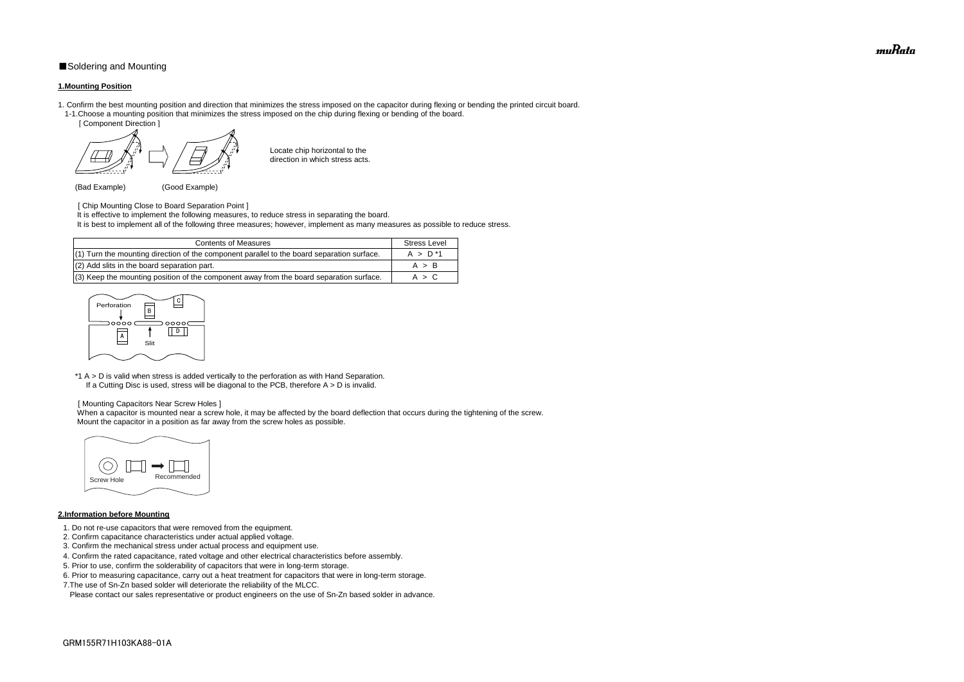### ■Soldering and Mounting

#### **1.Mounting Position**

- 1. Confirm the best mounting position and direction that minimizes the stress imposed on the capacitor during flexing or bending the printed circuit board. 1-1.Choose a mounting position that minimizes the stress imposed on the chip during flexing or bending of the board.
	- [ Component Direction ]

- [ Chip Mounting Close to Board Separation Point ]
- It is effective to implement the following measures, to reduce stress in separating the board.
- It is best to implement all of the following three measures; however, implement as many measures as possible to reduce stress.

Locate chip horizontal to the direction in which stress acts.

(Bad Example) (Good Example)

\*1 A > D is valid when stress is added vertically to the perforation as with Hand Separation. If a Cutting Disc is used, stress will be diagonal to the PCB, therefore  $A > D$  is invalid.

When a capacitor is mounted near a screw hole, it may be affected by the board deflection that occurs during the tightening of the screw. Mount the capacitor in a position as far away from the screw holes as possible.

#### [ Mounting Capacitors Near Screw Holes ]

### **2.Information before Mounting**

| <b>Contents of Measures</b>                                                                  | <b>Stress Level</b> |
|----------------------------------------------------------------------------------------------|---------------------|
| $(1)$ Turn the mounting direction of the component parallel to the board separation surface. | $A > D^*1$          |
| (2) Add slits in the board separation part.                                                  | A > B               |
| (3) Keep the mounting position of the component away from the board separation surface.      | A > C               |

- 1. Do not re-use capacitors that were removed from the equipment.
- 2. Confirm capacitance characteristics under actual applied voltage.
- 3. Confirm the mechanical stress under actual process and equipment use.
- 4. Confirm the rated capacitance, rated voltage and other electrical characteristics before assembly.
- 5. Prior to use, confirm the solderability of capacitors that were in long-term storage.
- 6. Prior to measuring capacitance, carry out a heat treatment for capacitors that were in long-term storage.
- 7.The use of Sn-Zn based solder will deteriorate the reliability of the MLCC.

Please contact our sales representative or product engineers on the use of Sn-Zn based solder in advance.





muRata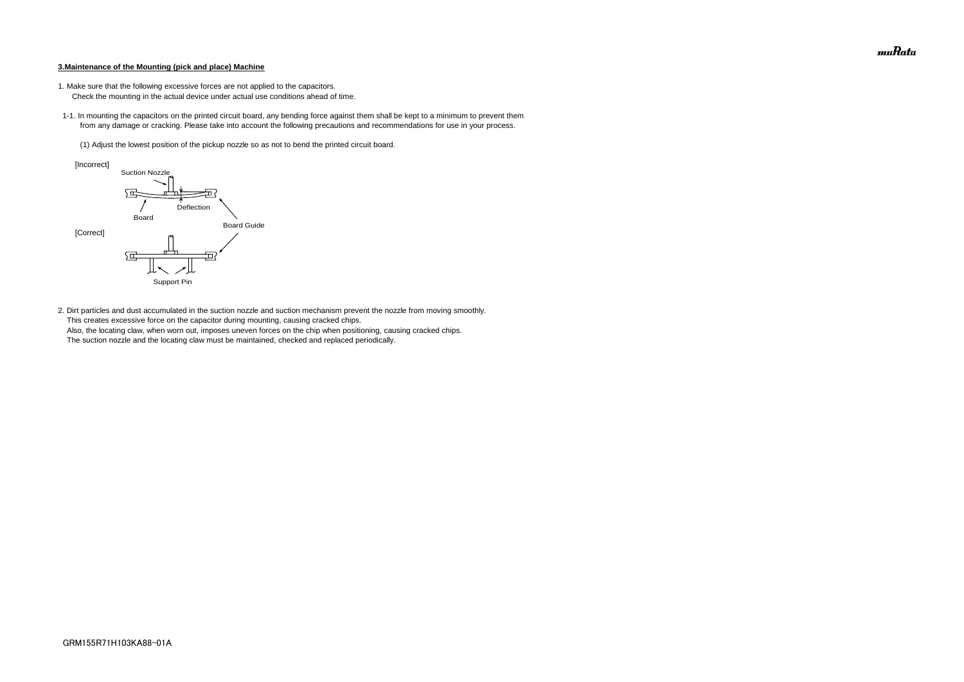#### **3.Maintenance of the Mounting (pick and place) Machine**

- 1. Make sure that the following excessive forces are not applied to the capacitors.
	- Check the mounting in the actual device under actual use conditions ahead of time.
- 1-1. In mounting the capacitors on the printed circuit board, any bending force against them shall be kept to a minimum to prevent them from any damage or cracking. Please take into account the following precautions and recommendations for use in your process.
	- (1) Adjust the lowest position of the pickup nozzle so as not to bend the printed circuit board.

2. Dirt particles and dust accumulated in the suction nozzle and suction mechanism prevent the nozzle from moving smoothly. This creates excessive force on the capacitor during mounting, causing cracked chips. Also, the locating claw, when worn out, imposes uneven forces on the chip when positioning, causing cracked chips. The suction nozzle and the locating claw must be maintained, checked and replaced periodically.



muRata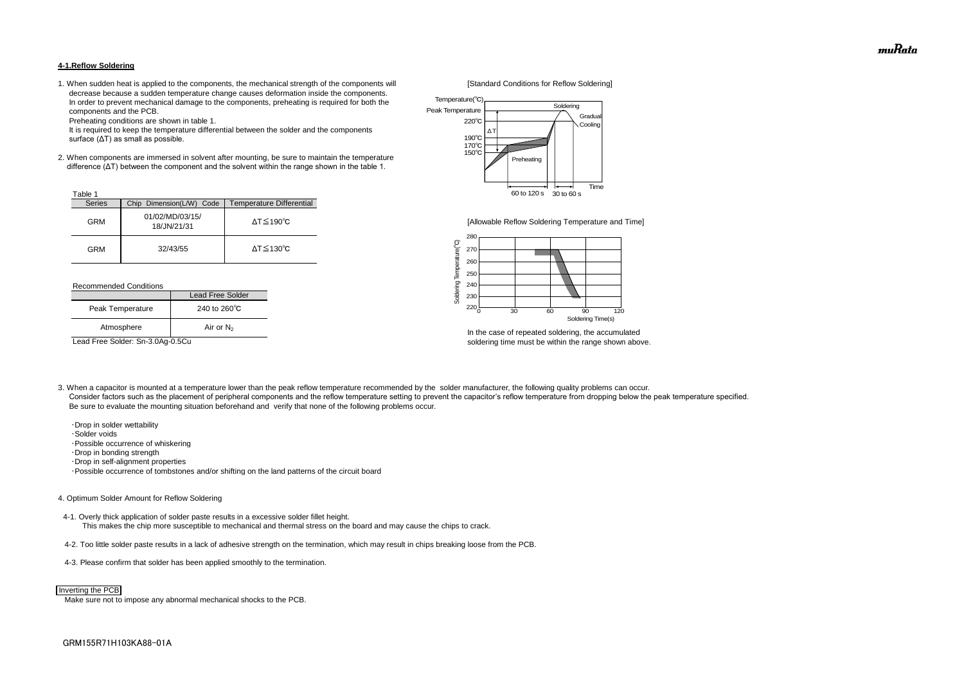#### **4-1.Reflow Soldering**

1. When sudden heat is applied to the components, the mechanical strength of the components will [Standard Conditions for Reflow Soldering] decrease because a sudden temperature change causes deformation inside the components. In order to prevent mechanical damage to the components, preheating is required for both the components and the PCB.

Preheating conditions are shown in table 1.

 It is required to keep the temperature differential between the solder and the components surface (ΔT) as small as possible.

2. When components are immersed in solvent after mounting, be sure to maintain the temperature difference (ΔT) between the component and the solvent within the range shown in the table 1.

#### Recommended Conditions

3. When a capacitor is mounted at a temperature lower than the peak reflow temperature recommended by the solder manufacturer, the following quality problems can occur. Consider factors such as the placement of peripheral components and the reflow temperature setting to prevent the capacitor's reflow temperature from dropping below the peak temperature specified. Be sure to evaluate the mounting situation beforehand and verify that none of the following problems occur.



In the case of repeated soldering, the accumulated Lead Free Solder: Sn-3.0Ag-0.5Cu soldering time must be within the range shown above.

 ・Drop in solder wettability ・Solder voids ・Possible occurrence of whiskering ・Drop in bonding strength ・Drop in self-alignment properties ・Possible occurrence of tombstones and/or shifting on the land patterns of the circuit board

| Table 1       |                                |                              |
|---------------|--------------------------------|------------------------------|
| <b>Series</b> | Chip Dimension(L/W) Code       | Temperature Differential     |
| <b>GRM</b>    | 01/02/MD/03/15/<br>18/JN/21/31 | $\Delta T \leq 190^{\circ}C$ |
| <b>GRM</b>    | 32/43/55                       | $\Delta T \leq 130^{\circ}C$ |

#### 4. Optimum Solder Amount for Reflow Soldering

4-1. Overly thick application of solder paste results in a excessive solder fillet height. This makes the chip more susceptible to mechanical and thermal stress on the board and may cause the chips to crack.

- 4-2. Too little solder paste results in a lack of adhesive strength on the termination, which may result in chips breaking loose from the PCB.
- 4-3. Please confirm that solder has been applied smoothly to the termination.

Make sure not to impose any abnormal mechanical shocks to the PCB.

|                  | Lead Free Solder       |  |
|------------------|------------------------|--|
| Peak Temperature | 240 to $260^{\circ}$ C |  |
| Atmosphere       | Air or $N_2$           |  |



#### Inverting the PCB



[Allowable Reflow Soldering Temperature and Time]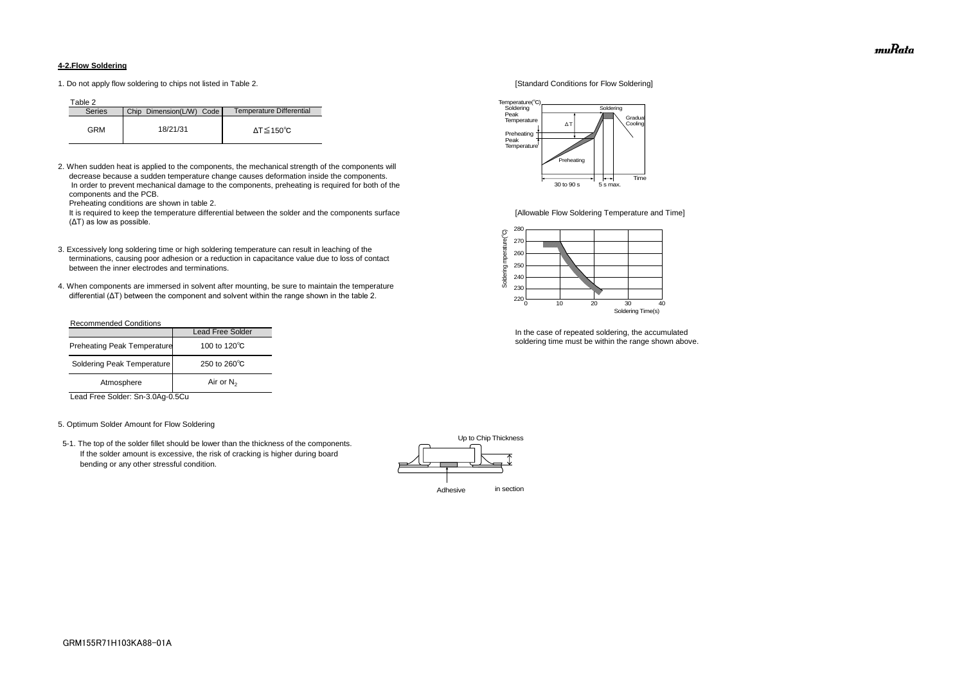### **4-2.Flow Soldering**

1. Do not apply flow soldering to chips not listed in Table 2. [Standard Conditions for Flow Soldering]

Table 2

2. When sudden heat is applied to the components, the mechanical strength of the components will decrease because a sudden temperature change causes deformation inside the components. In order to prevent mechanical damage to the components, preheating is required for both of the components and the PCB.

It is required to keep the temperature differential between the solder and the components surface [Allowable Flow Soldering Temperature and Time] (ΔT) as low as possible.

Preheating conditions are shown in table 2.

- 3. Excessively long soldering time or high soldering temperature can result in leaching of the terminations, causing poor adhesion or a reduction in capacitance value due to loss of contact between the inner electrodes and terminations.
- 4. When components are immersed in solvent after mounting, be sure to maintain the temperature differential (ΔT) between the component and solvent within the range shown in the table 2.

| <b>Series</b> | Chip Dimension(L/W) Code | Temperature Differential |
|---------------|--------------------------|--------------------------|
| GRM           | 18/21/31                 | ΔT≤150℃                  |

#### Recommended Conditions

Lead Free Solder: Sn-3.0Ag-0.5Cu

#### 5. Optimum Solder Amount for Flow Soldering

 5-1. The top of the solder fillet should be lower than the thickness of the components. If the solder amount is excessive, the risk of cracking is higher during board bending or any other stressful condition.



In the case of repeated soldering, the accumulated soldering time must be within the range shown above.

|                                    | <b>Lead Free Solder</b> |
|------------------------------------|-------------------------|
| <b>Preheating Peak Temperature</b> | 100 to 120 $\degree$ C  |
| Soldering Peak Temperature         | 250 to $260^{\circ}$ C  |
| Atmosphere                         | Air or $N_2$            |





muRata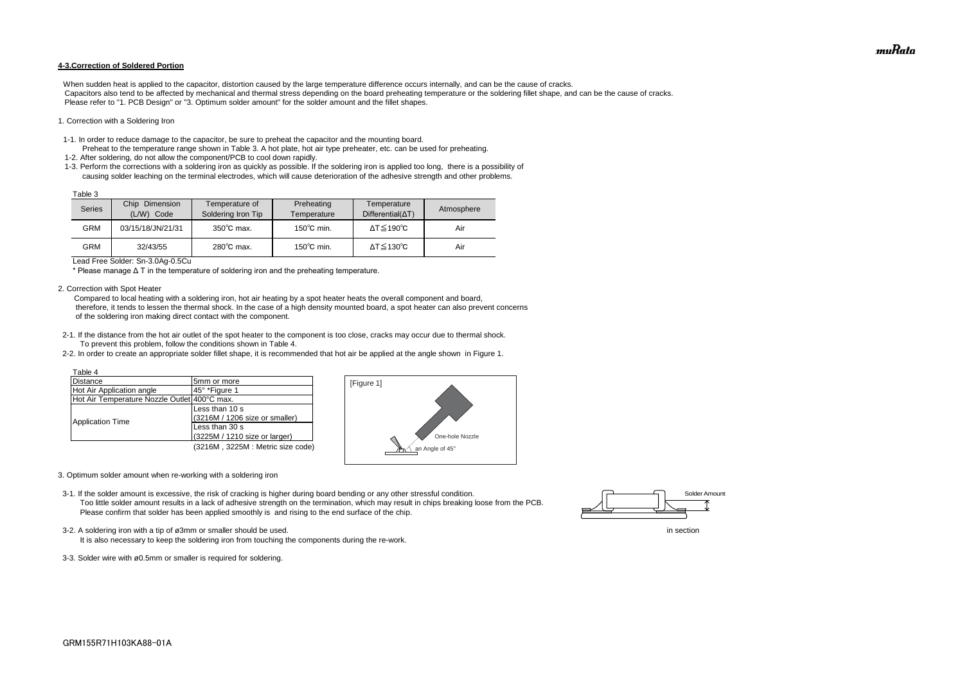#### **4-3.Correction of Soldered Portion**

When sudden heat is applied to the capacitor, distortion caused by the large temperature difference occurs internally, and can be the cause of cracks. Capacitors also tend to be affected by mechanical and thermal stress depending on the board preheating temperature or the soldering fillet shape, and can be the cause of cracks. Please refer to "1. PCB Design" or "3. Optimum solder amount" for the solder amount and the fillet shapes.

#### 1. Correction with a Soldering Iron

- 1-1. In order to reduce damage to the capacitor, be sure to preheat the capacitor and the mounting board.
- Preheat to the temperature range shown in Table 3. A hot plate, hot air type preheater, etc. can be used for preheating. 1-2. After soldering, do not allow the component/PCB to cool down rapidly.
- 1-3. Perform the corrections with a soldering iron as quickly as possible. If the soldering iron is applied too long, there is a possibility of causing solder leaching on the terminal electrodes, which will cause deterioration of the adhesive strength and other problems.

Lead Free Solder: Sn-3.0Ag-0.5Cu

\* Please manage Δ T in the temperature of soldering iron and the preheating temperature.

2. Correction with Spot Heater

 Compared to local heating with a soldering iron, hot air heating by a spot heater heats the overall component and board, therefore, it tends to lessen the thermal shock. In the case of a high density mounted board, a spot heater can also prevent concerns of the soldering iron making direct contact with the component.

- 3-2. A soldering iron with a tip of ø3mm or smaller should be used. In section
	- It is also necessary to keep the soldering iron from touching the components during the re-work.
- 3-3. Solder wire with ø0.5mm or smaller is required for soldering.
- 2-1. If the distance from the hot air outlet of the spot heater to the component is too close, cracks may occur due to thermal shock. To prevent this problem, follow the conditions shown in Table 4.
- 2-2. In order to create an appropriate solder fillet shape, it is recommended that hot air be applied at the angle shown in Figure 1.

| Table 3 |                                    |                                      |                           |                                         |            |
|---------|------------------------------------|--------------------------------------|---------------------------|-----------------------------------------|------------|
| Series  | Chip<br>Dimension<br>(L/W)<br>Code | Temperature of<br>Soldering Iron Tip | Preheating<br>Temperature | Temperature<br>$Differential(\Delta T)$ | Atmosphere |
| GRM     | 03/15/18/JN/21/31                  | $350^{\circ}$ C max.                 | $150^{\circ}$ C min.      | $\Delta T \leq 190^{\circ}C$            | Air        |
| GRM     | 32/43/55                           | $280^{\circ}$ C max.                 | $150^{\circ}$ C min.      | $\Delta T \leq 130^{\circ}C$            | Air        |

- 3. Optimum solder amount when re-working with a soldering iron
- 3-1. If the solder amount is excessive, the risk of cracking is higher during board bending or any other stressful condition. Too little solder amount results in a lack of adhesive strength on the termination, which may result in chips breaking loose from the PCB. Please confirm that solder has been applied smoothly is and rising to the end surface of the chip.

| Table 4                                      |                                  |
|----------------------------------------------|----------------------------------|
| <b>Distance</b>                              | 5mm or more                      |
| Hot Air Application angle                    | 45° *Figure 1                    |
| Hot Air Temperature Nozzle Outlet 400°C max. |                                  |
|                                              | Less than 10 s                   |
|                                              | (3216M / 1206 size or smaller)   |
| <b>Application Time</b>                      | Less than 30 s                   |
|                                              | (3225M / 1210 size or larger)    |
|                                              | (3216M, 3225M: Metric size code) |





muRata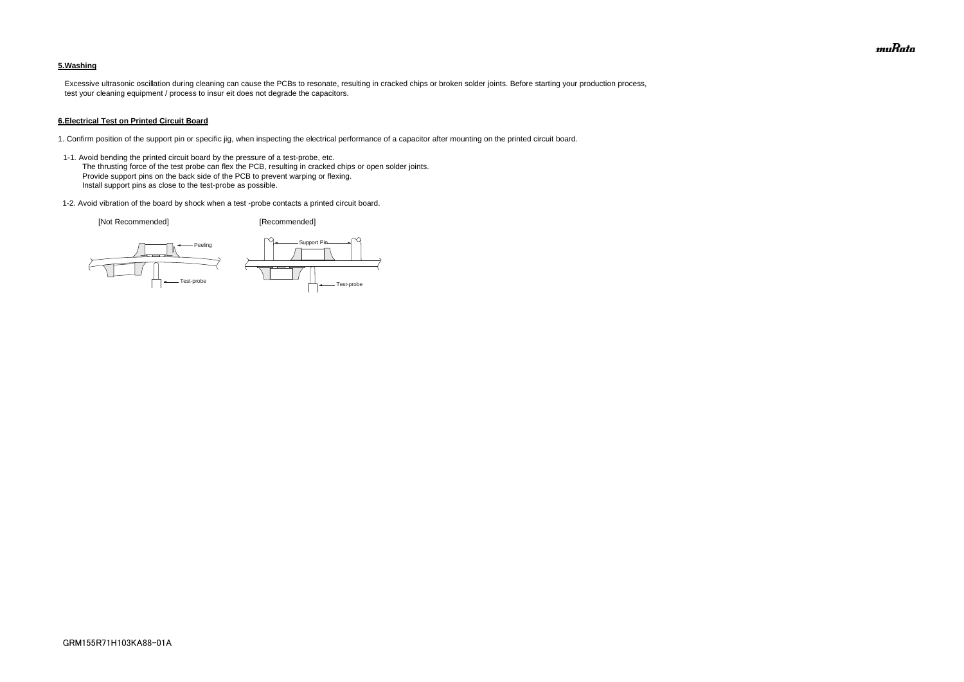### **5.Washing**

 Excessive ultrasonic oscillation during cleaning can cause the PCBs to resonate, resulting in cracked chips or broken solder joints. Before starting your production process, test your cleaning equipment / process to insur eit does not degrade the capacitors.

#### **6.Electrical Test on Printed Circuit Board**

- 1. Confirm position of the support pin or specific jig, when inspecting the electrical performance of a capacitor after mounting on the printed circuit board.
- 1-1. Avoid bending the printed circuit board by the pressure of a test-probe, etc. The thrusting force of the test probe can flex the PCB, resulting in cracked chips or open solder joints. Provide support pins on the back side of the PCB to prevent warping or flexing. Install support pins as close to the test-probe as possible.
- 1-2. Avoid vibration of the board by shock when a test -probe contacts a printed circuit board.

[Not Recommended] [Recommended]





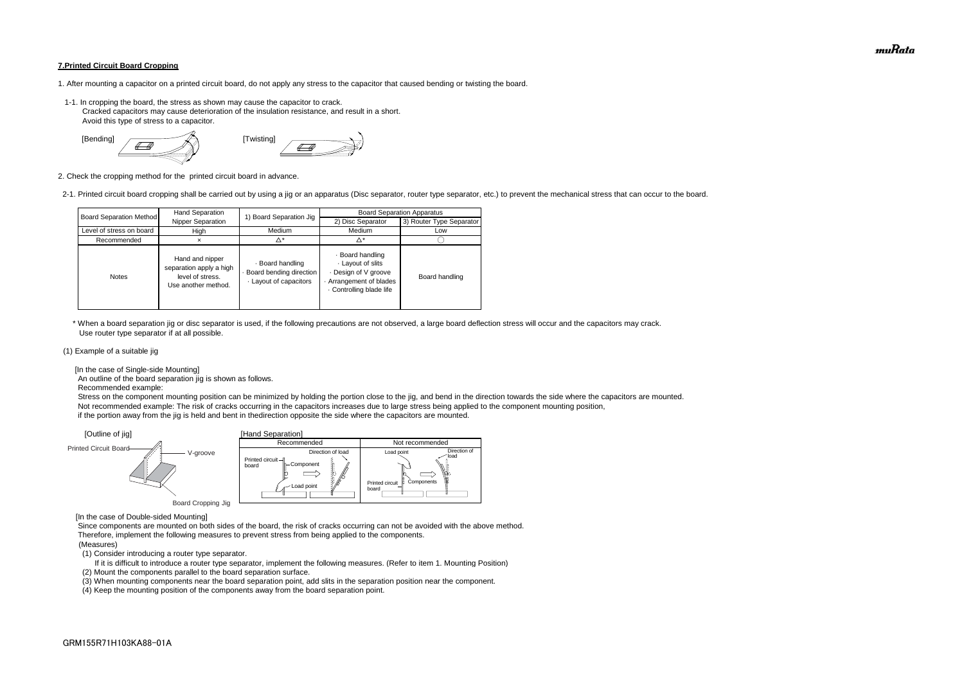#### **7.Printed Circuit Board Cropping**

- 1. After mounting a capacitor on a printed circuit board, do not apply any stress to the capacitor that caused bending or twisting the board.
- 1-1. In cropping the board, the stress as shown may cause the capacitor to crack. Cracked capacitors may cause deterioration of the insulation resistance, and result in a short. Avoid this type of stress to a capacitor.



2. Check the cropping method for the printed circuit board in advance.

2-1. Printed circuit board cropping shall be carried out by using a jig or an apparatus (Disc separator, router type separator, etc.) to prevent the mechanical stress that can occur to the board.

 \* When a board separation jig or disc separator is used, if the following precautions are not observed, a large board deflection stress will occur and the capacitors may crack. Use router type separator if at all possible.

#### (1) Example of a suitable jig

[In the case of Single-side Mounting]

An outline of the board separation jig is shown as follows.

Recommended example:

 Stress on the component mounting position can be minimized by holding the portion close to the jig, and bend in the direction towards the side where the capacitors are mounted. Not recommended example: The risk of cracks occurring in the capacitors increases due to large stress being applied to the component mounting position, if the portion away from the jig is held and bent in thedirection opposite the side where the capacitors are mounted.

[In the case of Double-sided Mounting]

 Since components are mounted on both sides of the board, the risk of cracks occurring can not be avoided with the above method. Therefore, implement the following measures to prevent stress from being applied to the components.

#### (Measures)

(1) Consider introducing a router type separator.

If it is difficult to introduce a router type separator, implement the following measures. (Refer to item 1. Mounting Position)

(2) Mount the components parallel to the board separation surface.

(3) When mounting components near the board separation point, add slits in the separation position near the component.



(4) Keep the mounting position of the components away from the board separation point.

| <b>Board Separation Method</b> | Hand Separation                                                                       | 1) Board Separation Jig                                               | <b>Board Separation Apparatus</b>                                                                              |                          |  |
|--------------------------------|---------------------------------------------------------------------------------------|-----------------------------------------------------------------------|----------------------------------------------------------------------------------------------------------------|--------------------------|--|
|                                | Nipper Separation                                                                     |                                                                       | 2) Disc Separator                                                                                              | 3) Router Type Separator |  |
| Level of stress on board       | High                                                                                  | Medium                                                                | Medium                                                                                                         | Low                      |  |
| Recommended                    | ×                                                                                     | Δ*                                                                    | ^*                                                                                                             |                          |  |
| <b>Notes</b>                   | Hand and nipper<br>separation apply a high<br>level of stress.<br>Use another method. | · Board handling<br>- Board bending direction<br>Layout of capacitors | · Board handling<br>Layout of slits<br>Design of V groove<br>Arrangement of blades<br>. Controlling blade life | Board handling           |  |

muRata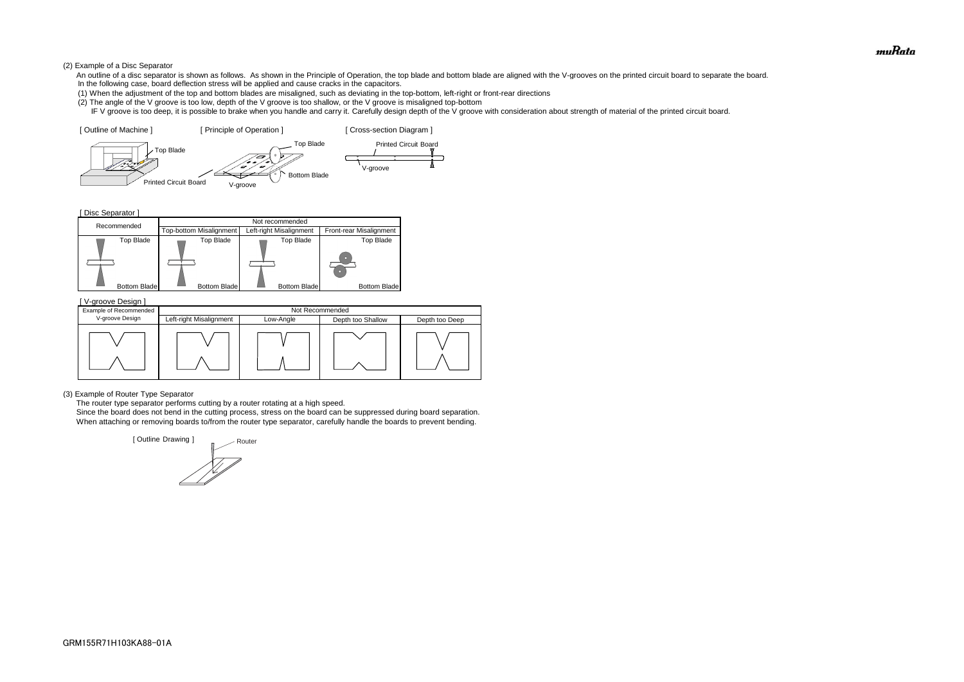#### (2) Example of a Disc Separator

- An outline of a disc separator is shown as follows. As shown in the Principle of Operation, the top blade and bottom blade are aligned with the V-grooves on the printed circuit board to separate the board. In the following case, board deflection stress will be applied and cause cracks in the capacitors.
- (1) When the adjustment of the top and bottom blades are misaligned, such as deviating in the top-bottom, left-right or front-rear directions
- (2) The angle of the V groove is too low, depth of the V groove is too shallow, or the V groove is misaligned top-bottom
- IF V groove is too deep, it is possible to brake when you handle and carry it. Carefully design depth of the V groove with consideration about strength of material of the printed circuit board.

[ Disc Separator ]

(3) Example of Router Type Separator

The router type separator performs cutting by a router rotating at a high speed.





 Since the board does not bend in the cutting process, stress on the board can be suppressed during board separation. When attaching or removing boards to/from the router type separator, carefully handle the boards to prevent bending.

| V-groove Design ]      |                         |           |                   |                |
|------------------------|-------------------------|-----------|-------------------|----------------|
| Example of Recommended |                         |           | Not Recommended   |                |
| V-groove Design        | Left-right Misalignment | Low-Angle | Depth too Shallow | Depth too Deep |
|                        |                         |           |                   |                |

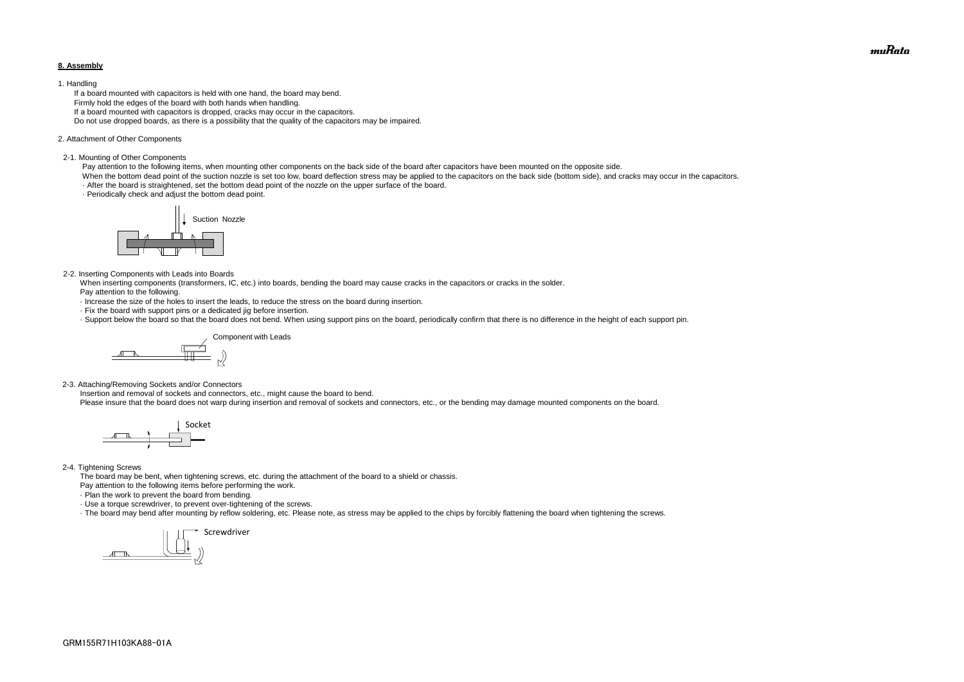#### **8. Assembly**

#### 1. Handling

 If a board mounted with capacitors is held with one hand, the board may bend. Firmly hold the edges of the board with both hands when handling. If a board mounted with capacitors is dropped, cracks may occur in the capacitors. Do not use dropped boards, as there is a possibility that the quality of the capacitors may be impaired.

#### 2. Attachment of Other Components

#### 2-1. Mounting of Other Components

Pay attention to the following items, when mounting other components on the back side of the board after capacitors have been mounted on the opposite side.

When the bottom dead point of the suction nozzle is set too low, board deflection stress may be applied to the capacitors on the back side (bottom side), and cracks may occur in the capacitors. · After the board is straightened, set the bottom dead point of the nozzle on the upper surface of the board.

· Periodically check and adjust the bottom dead point.

#### 2-2. Inserting Components with Leads into Boards

 When inserting components (transformers, IC, etc.) into boards, bending the board may cause cracks in the capacitors or cracks in the solder. Pay attention to the following.

- · Increase the size of the holes to insert the leads, to reduce the stress on the board during insertion.
- · Fix the board with support pins or a dedicated jig before insertion.
- · Support below the board so that the board does not bend. When using support pins on the board, periodically confirm that there is no difference in the height of each support pin.

2-3. Attaching/Removing Sockets and/or Connectors

Insertion and removal of sockets and connectors, etc., might cause the board to bend.

Please insure that the board does not warp during insertion and removal of sockets and connectors, etc., or the bending may damage mounted components on the board.

#### 2-4. Tightening Screws

The board may be bent, when tightening screws, etc. during the attachment of the board to a shield or chassis.

Pay attention to the following items before performing the work.

· Plan the work to prevent the board from bending.

· Use a torque screwdriver, to prevent over-tightening of the screws.

· The board may bend after mounting by reflow soldering, etc. Please note, as stress may be applied to the chips by forcibly flattening the board when tightening the screws.









muRata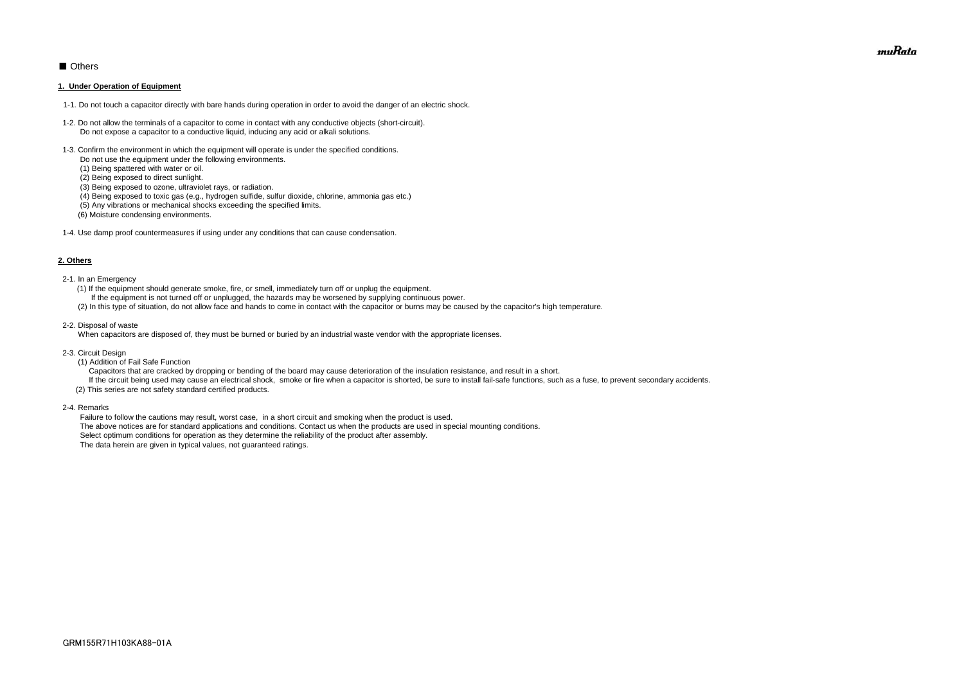### ■ Others

#### **1. Under Operation of Equipment**

- 1-1. Do not touch a capacitor directly with bare hands during operation in order to avoid the danger of an electric shock.
- 1-2. Do not allow the terminals of a capacitor to come in contact with any conductive objects (short-circuit). Do not expose a capacitor to a conductive liquid, inducing any acid or alkali solutions.
- 1-3. Confirm the environment in which the equipment will operate is under the specified conditions.
	- Do not use the equipment under the following environments.
	- (1) Being spattered with water or oil.
	- (2) Being exposed to direct sunlight.
	- (3) Being exposed to ozone, ultraviolet rays, or radiation.
	- (4) Being exposed to toxic gas (e.g., hydrogen sulfide, sulfur dioxide, chlorine, ammonia gas etc.)
	- (5) Any vibrations or mechanical shocks exceeding the specified limits.
	- (6) Moisture condensing environments.
- 1-4. Use damp proof countermeasures if using under any conditions that can cause condensation.

#### **2. Others**

If the circuit being used may cause an electrical shock, smoke or fire when a capacitor is shorted, be sure to install fail-safe functions, such as a fuse, to prevent secondary accidents. (2) This series are not safety standard certified products.

- 2-1. In an Emergency
	- (1) If the equipment should generate smoke, fire, or smell, immediately turn off or unplug the equipment.
	- If the equipment is not turned off or unplugged, the hazards may be worsened by supplying continuous power.
	- (2) In this type of situation, do not allow face and hands to come in contact with the capacitor or burns may be caused by the capacitor's high temperature.
- 2-2. Disposal of waste

When capacitors are disposed of, they must be burned or buried by an industrial waste vendor with the appropriate licenses.

- 2-3. Circuit Design
	- (1) Addition of Fail Safe Function
	- Capacitors that are cracked by dropping or bending of the board may cause deterioration of the insulation resistance, and result in a short.

2-4. Remarks

 Failure to follow the cautions may result, worst case, in a short circuit and smoking when the product is used. The above notices are for standard applications and conditions. Contact us when the products are used in special mounting conditions. Select optimum conditions for operation as they determine the reliability of the product after assembly. The data herein are given in typical values, not guaranteed ratings.

muRata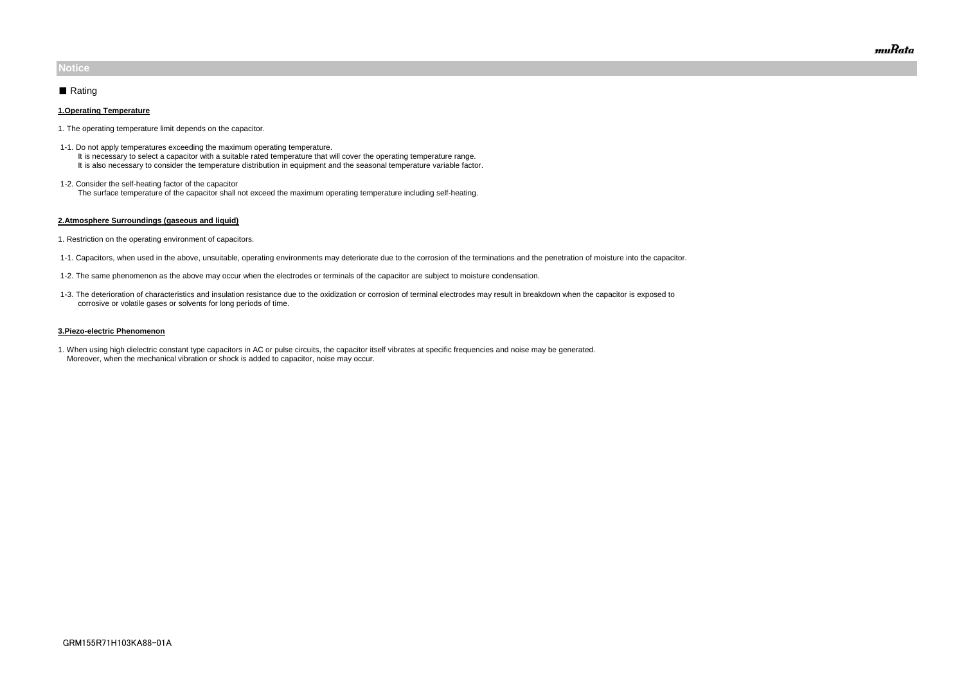#### **1.Operating Temperature**

- 1. The operating temperature limit depends on the capacitor.
- 1-1. Do not apply temperatures exceeding the maximum operating temperature. It is necessary to select a capacitor with a suitable rated temperature that will cover the operating temperature range. It is also necessary to consider the temperature distribution in equipment and the seasonal temperature variable factor.
- 1-2. Consider the self-heating factor of the capacitor The surface temperature of the capacitor shall not exceed the maximum operating temperature including self-heating.

#### **2.Atmosphere Surroundings (gaseous and liquid)**

- 1. Restriction on the operating environment of capacitors.
- 1-1. Capacitors, when used in the above, unsuitable, operating environments may deteriorate due to the corrosion of the terminations and the penetration of moisture into the capacitor.
- 1-2. The same phenomenon as the above may occur when the electrodes or terminals of the capacitor are subject to moisture condensation.
- 1-3. The deterioration of characteristics and insulation resistance due to the oxidization or corrosion of terminal electrodes may result in breakdown when the capacitor is exposed to corrosive or volatile gases or solvents for long periods of time.

#### **3.Piezo-electric Phenomenon**

1. When using high dielectric constant type capacitors in AC or pulse circuits, the capacitor itself vibrates at specific frequencies and noise may be generated. Moreover, when the mechanical vibration or shock is added to capacitor, noise may occur.

### **Notice**

### ■ Rating

muRata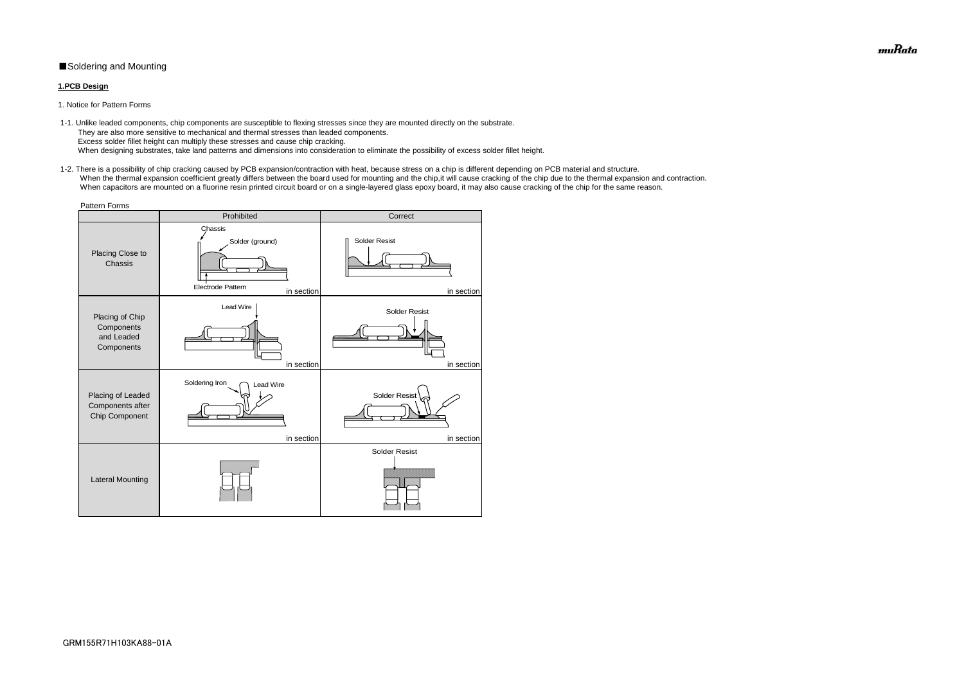### ■Soldering and Mounting

### **1.PCB Design**

1. Notice for Pattern Forms

 1-2. There is a possibility of chip cracking caused by PCB expansion/contraction with heat, because stress on a chip is different depending on PCB material and structure. When the thermal expansion coefficient greatly differs between the board used for mounting and the chip, it will cause cracking of the chip due to the thermal expansion and contraction. When capacitors are mounted on a fluorine resin printed circuit board or on a single-layered glass epoxy board, it may also cause cracking of the chip for the same reason.

 1-1. Unlike leaded components, chip components are susceptible to flexing stresses since they are mounted directly on the substrate. They are also more sensitive to mechanical and thermal stresses than leaded components. Excess solder fillet height can multiply these stresses and cause chip cracking. When designing substrates, take land patterns and dimensions into consideration to eliminate the possibility of excess solder fillet height.

| <b>Pattern Forms</b>                                      |                                                                      |                                    |  |  |  |  |
|-----------------------------------------------------------|----------------------------------------------------------------------|------------------------------------|--|--|--|--|
|                                                           | Prohibited                                                           | Correct                            |  |  |  |  |
| Placing Close to<br>Chassis                               | Chassis<br>Solder (ground)<br><b>Electrode Pattern</b><br>in section | <b>Solder Resist</b><br>in section |  |  |  |  |
| Placing of Chip<br>Components<br>and Leaded<br>Components | Lead Wire<br>in section                                              | <b>Solder Resist</b><br>in section |  |  |  |  |
| Placing of Leaded<br>Components after<br>Chip Component   | Soldering Iron<br><b>Lead Wire</b><br>in section                     | Solder Resist<br>in section        |  |  |  |  |
| <b>Lateral Mounting</b>                                   |                                                                      | <b>Solder Resist</b>               |  |  |  |  |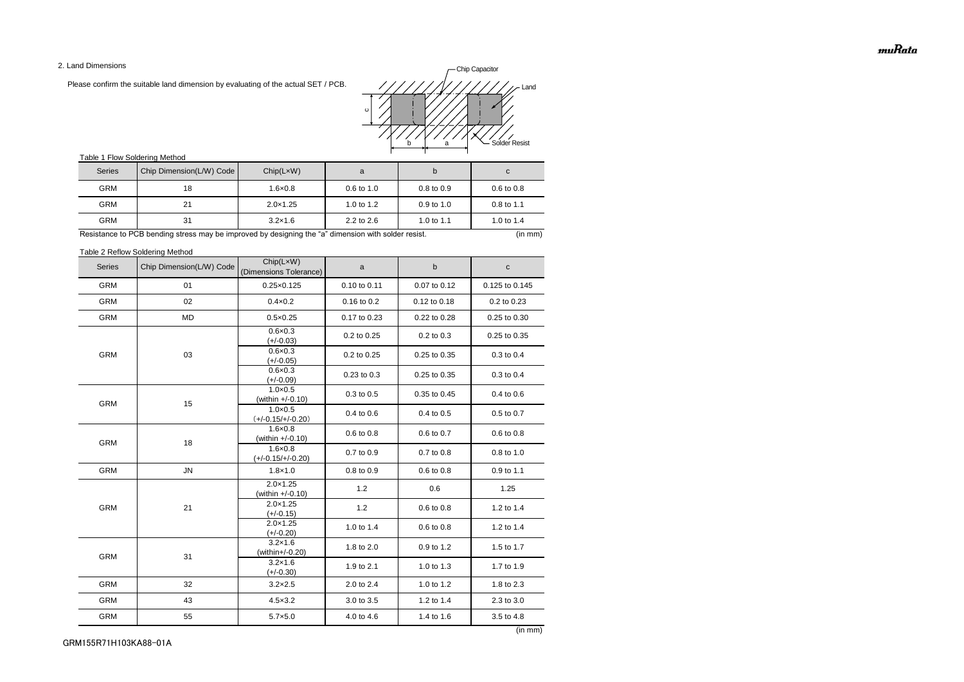2. Land Dimensions

Please confirm the suitable land dimension by evaluating of the actual SET / PCB.

### Table 1 Flow Soldering Method

### Table 2 Reflow Soldering Method

muRata

| <b>Series</b> | Chip Dimension(L/W) Code | Chip(LxW)<br>(Dimensions Tolerance)      | a            | $\sf b$      | $\mathbf{C}$   |
|---------------|--------------------------|------------------------------------------|--------------|--------------|----------------|
| <b>GRM</b>    | 01                       | $0.25 \times 0.125$                      | 0.10 to 0.11 | 0.07 to 0.12 | 0.125 to 0.145 |
| <b>GRM</b>    | 02                       | $0.4 \times 0.2$                         | 0.16 to 0.2  | 0.12 to 0.18 | 0.2 to 0.23    |
| <b>GRM</b>    | <b>MD</b>                | $0.5 \times 0.25$                        | 0.17 to 0.23 | 0.22 to 0.28 | 0.25 to 0.30   |
|               |                          | $0.6 \times 0.3$<br>$(+/-0.03)$          | 0.2 to 0.25  | 0.2 to 0.3   | 0.25 to 0.35   |
| <b>GRM</b>    | 03                       | $0.6 \times 0.3$<br>$(+/-0.05)$          | 0.2 to 0.25  | 0.25 to 0.35 | 0.3 to 0.4     |
|               |                          | $0.6 \times 0.3$<br>$(+/-0.09)$          | 0.23 to 0.3  | 0.25 to 0.35 | 0.3 to 0.4     |
| <b>GRM</b>    | 15                       | $1.0 \times 0.5$<br>(within +/-0.10)     | 0.3 to 0.5   | 0.35 to 0.45 | 0.4 to 0.6     |
|               |                          | $1.0 \times 0.5$<br>$(+/-0.15/+/-0.20)$  | 0.4 to 0.6   | 0.4 to 0.5   | 0.5 to 0.7     |
| <b>GRM</b>    | 18                       | $1.6 \times 0.8$<br>(within $+/-0.10$ )  | 0.6 to 0.8   | 0.6 to 0.7   | 0.6 to 0.8     |
|               |                          | $1.6 \times 0.8$<br>$(+/-0.15/+/-0.20)$  | 0.7 to 0.9   | 0.7 to 0.8   | 0.8 to 1.0     |
| <b>GRM</b>    | ${\sf JN}$               | $1.8 \times 1.0$                         | 0.8 to 0.9   | 0.6 to 0.8   | 0.9 to 1.1     |
|               | 21                       | $2.0 \times 1.25$<br>(within $+/-0.10$ ) | 1.2          | 0.6          | 1.25           |
| <b>GRM</b>    |                          | $2.0 \times 1.25$<br>$(+/-0.15)$         | 1.2          | 0.6 to 0.8   | 1.2 to 1.4     |
|               |                          | $2.0 \times 1.25$<br>$(+/-0.20)$         | 1.0 to 1.4   | 0.6 to 0.8   | 1.2 to 1.4     |
| <b>GRM</b>    | 31                       | $3.2 \times 1.6$<br>(within+/-0.20)      | 1.8 to 2.0   | 0.9 to 1.2   | 1.5 to 1.7     |
|               |                          | $3.2 \times 1.6$<br>$(+/-0.30)$          | 1.9 to 2.1   | 1.0 to 1.3   | 1.7 to 1.9     |
| <b>GRM</b>    | 32                       | $3.2 \times 2.5$                         | 2.0 to 2.4   | 1.0 to 1.2   | 1.8 to 2.3     |
| GRM           | 43                       | $4.5 \times 3.2$                         | 3.0 to 3.5   | 1.2 to 1.4   | 2.3 to 3.0     |
| <b>GRM</b>    | 55                       | $5.7 \times 5.0$                         | 4.0 to 4.6   | 1.4 to 1.6   | 3.5 to 4.8     |

| <b>Series</b> | Chip Dimension(L/W) Code | Chip(LxW)         | a                     |                       | C                     |
|---------------|--------------------------|-------------------|-----------------------|-----------------------|-----------------------|
| <b>GRM</b>    | 18                       | $1.6 \times 0.8$  | $0.6 \text{ to } 1.0$ | $0.8 \text{ to } 0.9$ | $0.6 \text{ to } 0.8$ |
| <b>GRM</b>    | 21                       | $2.0 \times 1.25$ | 1.0 to $1.2$          | $0.9$ to 1.0          | $0.8 \text{ to } 1.1$ |
| <b>GRM</b>    | 31                       | $3.2 \times 1.6$  | $2.2$ to $2.6$        | 1.0 to 1.1            | 1.0 to $1.4$          |

Resistance to PCB bending stress may be improved by designing the "a" dimension with solder resist. (in mm) (in mm)

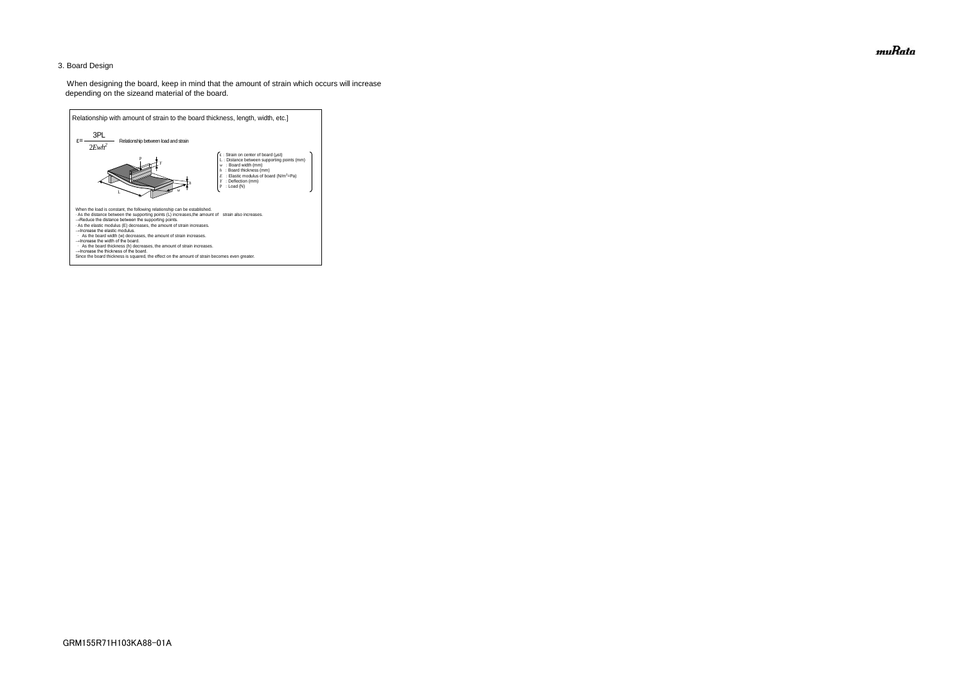### 3. Board Design

 When designing the board, keep in mind that the amount of strain which occurs will increase depending on the sizeand material of the board.



muRata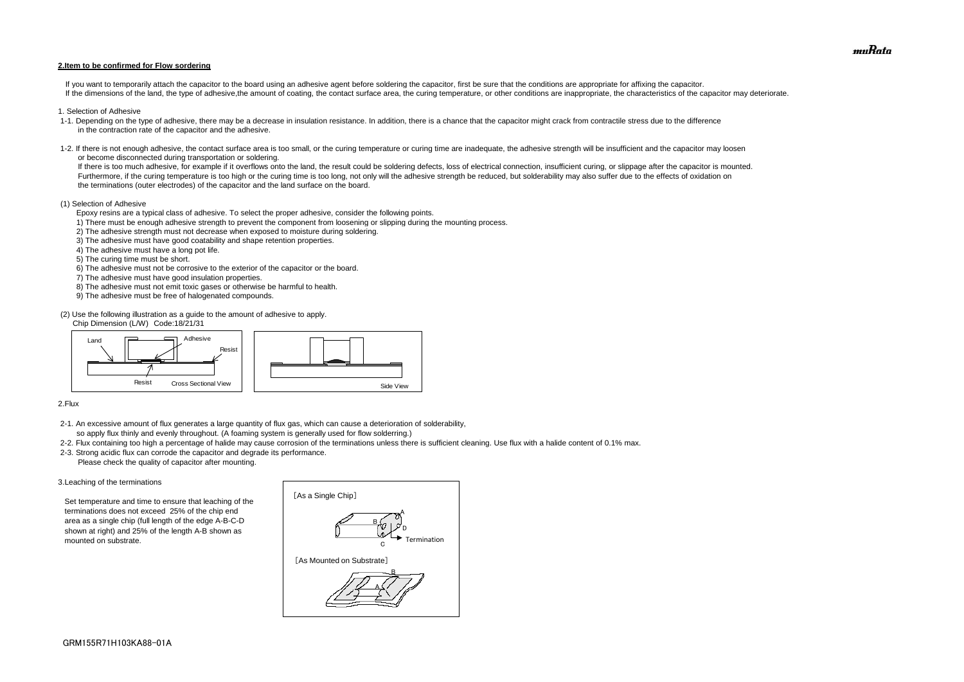#### **2.Item to be confirmed for Flow sordering**

If you want to temporarily attach the capacitor to the board using an adhesive agent before soldering the capacitor, first be sure that the conditions are appropriate for affixing the capacitor. If the dimensions of the land, the type of adhesive, the amount of coating, the contact surface area, the curing temperature, or other conditions are inappropriate, the characteristics of the capacitor may deteriorate.

- 1. Selection of Adhesive
- 1-1. Depending on the type of adhesive, there may be a decrease in insulation resistance. In addition, there is a chance that the capacitor might crack from contractile stress due to the difference in the contraction rate of the capacitor and the adhesive.
- 1-2. If there is not enough adhesive, the contact surface area is too small, or the curing temperature or curing time are inadequate, the adhesive strength will be insufficient and the capacitor may loosen or become disconnected during transportation or soldering.

If there is too much adhesive, for example if it overflows onto the land, the result could be soldering defects, loss of electrical connection, insufficient curing, or slippage after the capacitor is mounted. Furthermore, if the curing temperature is too high or the curing time is too long, not only will the adhesive strength be reduced, but solderability may also suffer due to the effects of oxidation on the terminations (outer electrodes) of the capacitor and the land surface on the board.

#### (1) Selection of Adhesive

Epoxy resins are a typical class of adhesive. To select the proper adhesive, consider the following points.

- 1) There must be enough adhesive strength to prevent the component from loosening or slipping during the mounting process.
- 2) The adhesive strength must not decrease when exposed to moisture during soldering.
- 3) The adhesive must have good coatability and shape retention properties.
- 4) The adhesive must have a long pot life.
- 5) The curing time must be short.
- 6) The adhesive must not be corrosive to the exterior of the capacitor or the board.
- 7) The adhesive must have good insulation properties.
- 8) The adhesive must not emit toxic gases or otherwise be harmful to health.
- 9) The adhesive must be free of halogenated compounds.

(2) Use the following illustration as a guide to the amount of adhesive to apply.

Chip Dimension (L/W) Code:18/21/31

#### 2.Flux

- 2-1. An excessive amount of flux generates a large quantity of flux gas, which can cause a deterioration of solderability, so apply flux thinly and evenly throughout. (A foaming system is generally used for flow solderring.)
- 2-2. Flux containing too high a percentage of halide may cause corrosion of the terminations unless there is sufficient cleaning. Use flux with a halide content of 0.1% max.
- 2-3. Strong acidic flux can corrode the capacitor and degrade its performance. Please check the quality of capacitor after mounting.

#### 3.Leaching of the terminations

 Set temperature and time to ensure that leaching of the terminations does not exceed 25% of the chip end area as a single chip (full length of the edge A-B-C-D shown at right) and 25% of the length A-B shown as mounted on substrate.





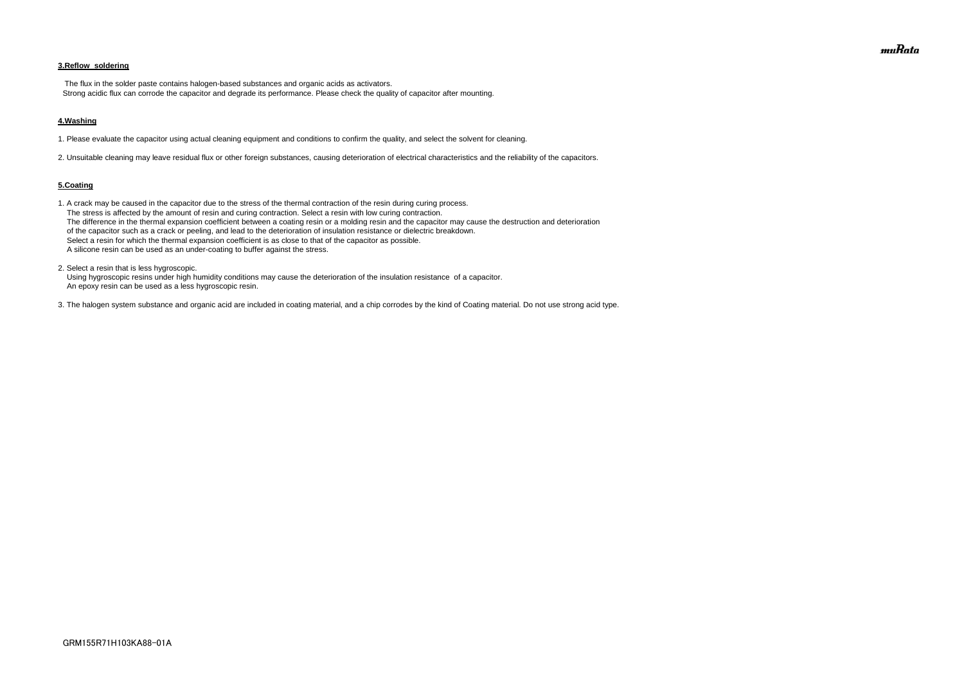### **3.Reflow soldering**

 The flux in the solder paste contains halogen-based substances and organic acids as activators. Strong acidic flux can corrode the capacitor and degrade its performance. Please check the quality of capacitor after mounting.

#### **4.Washing**

1. Please evaluate the capacitor using actual cleaning equipment and conditions to confirm the quality, and select the solvent for cleaning.

2. Unsuitable cleaning may leave residual flux or other foreign substances, causing deterioration of electrical characteristics and the reliability of the capacitors.

#### **5.Coating**

1. A crack may be caused in the capacitor due to the stress of the thermal contraction of the resin during curing process. The stress is affected by the amount of resin and curing contraction. Select a resin with low curing contraction. The difference in the thermal expansion coefficient between a coating resin or a molding resin and the capacitor may cause the destruction and deterioration of the capacitor such as a crack or peeling, and lead to the deterioration of insulation resistance or dielectric breakdown. Select a resin for which the thermal expansion coefficient is as close to that of the capacitor as possible. A silicone resin can be used as an under-coating to buffer against the stress.

2. Select a resin that is less hygroscopic.

 Using hygroscopic resins under high humidity conditions may cause the deterioration of the insulation resistance of a capacitor. An epoxy resin can be used as a less hygroscopic resin.

3. The halogen system substance and organic acid are included in coating material, and a chip corrodes by the kind of Coating material. Do not use strong acid type.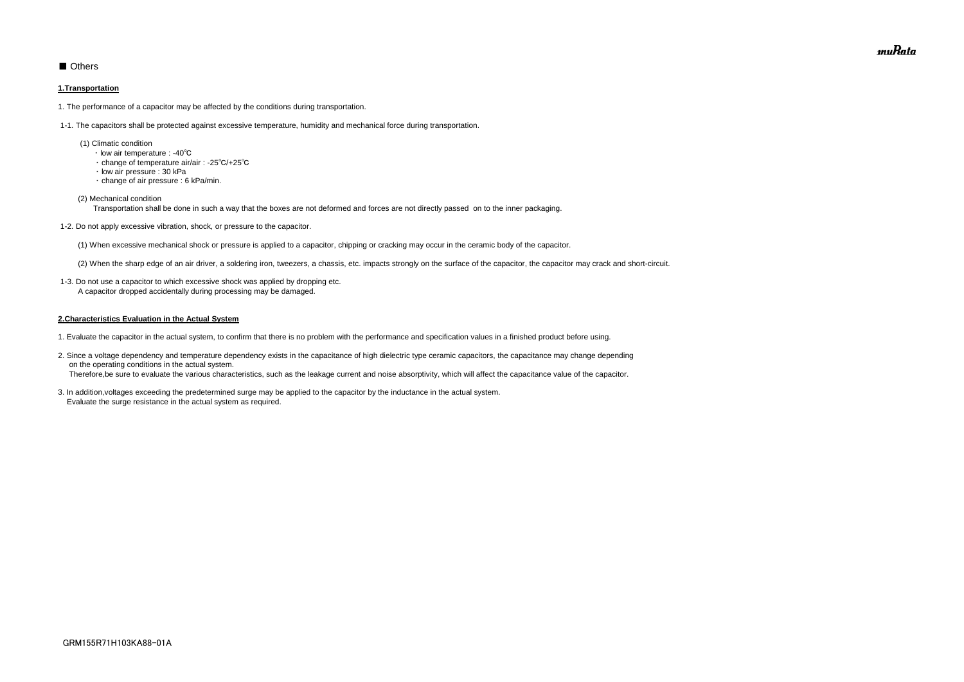### ■ Others

#### **1.Transportation**

1. The performance of a capacitor may be affected by the conditions during transportation.

1-1. The capacitors shall be protected against excessive temperature, humidity and mechanical force during transportation.

- (1) Climatic condition
	- ・ low air temperature : -40℃
	- ・ change of temperature air/air : -25℃/+25℃
	- ・ low air pressure : 30 kPa
	- ・ change of air pressure : 6 kPa/min.

(2) Mechanical condition

Transportation shall be done in such a way that the boxes are not deformed and forces are not directly passed on to the inner packaging.

1-2. Do not apply excessive vibration, shock, or pressure to the capacitor.

(1) When excessive mechanical shock or pressure is applied to a capacitor, chipping or cracking may occur in the ceramic body of the capacitor.

(2) When the sharp edge of an air driver, a soldering iron, tweezers, a chassis, etc. impacts strongly on the surface of the capacitor, the capacitor may crack and short-circuit.

 1-3. Do not use a capacitor to which excessive shock was applied by dropping etc. A capacitor dropped accidentally during processing may be damaged.

#### **2.Characteristics Evaluation in the Actual System**

- 1. Evaluate the capacitor in the actual system, to confirm that there is no problem with the performance and specification values in a finished product before using.
- 2. Since a voltage dependency and temperature dependency exists in the capacitance of high dielectric type ceramic capacitors, the capacitance may change depending on the operating conditions in the actual system. Therefore,be sure to evaluate the various characteristics, such as the leakage current and noise absorptivity, which will affect the capacitance value of the capacitor.
- 3. In addition,voltages exceeding the predetermined surge may be applied to the capacitor by the inductance in the actual system. Evaluate the surge resistance in the actual system as required.

muRata